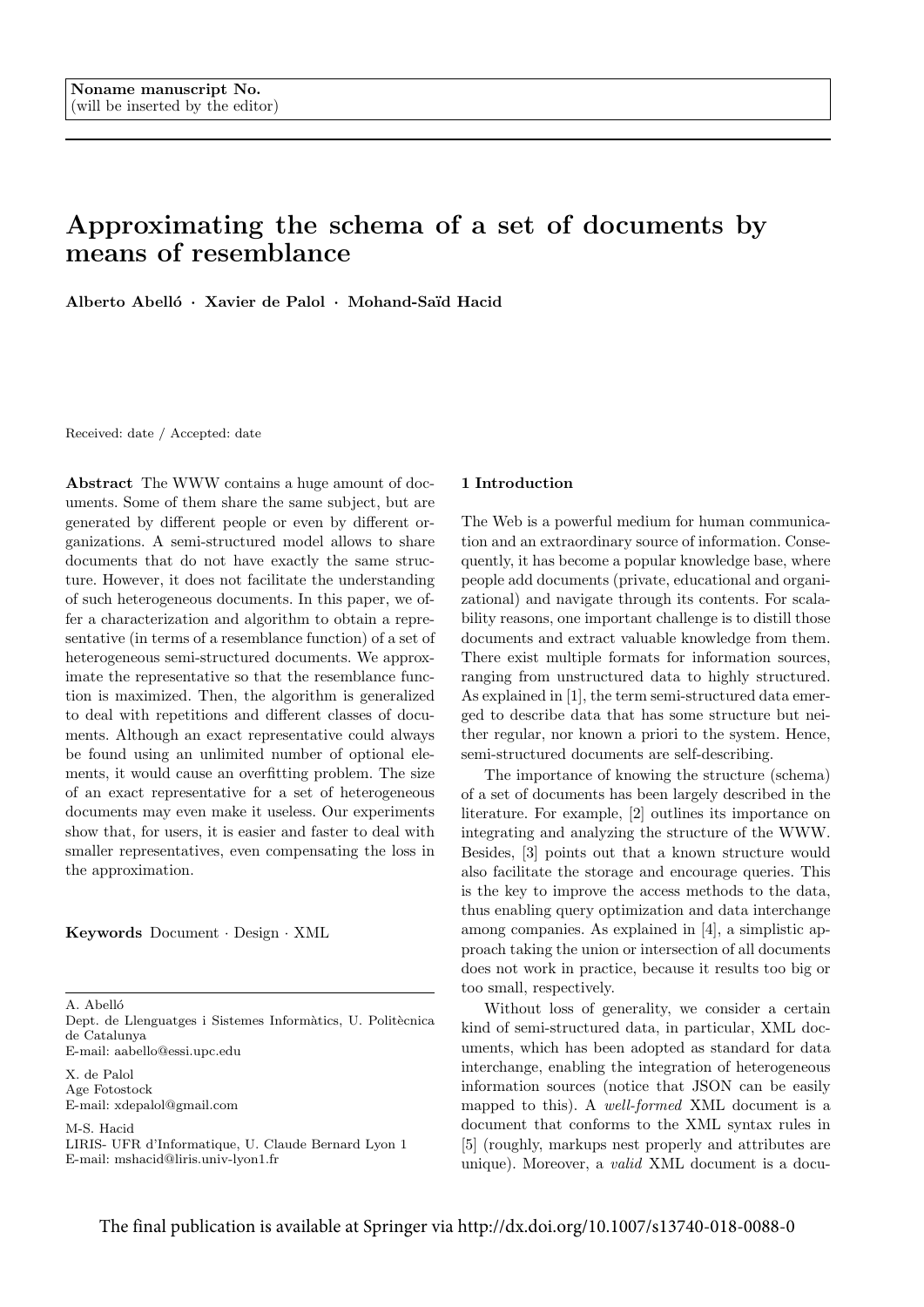# Approximating the schema of a set of documents by means of resemblance

Alberto Abelló · Xavier de Palol · Mohand-Saïd Hacid

Received: date / Accepted: date

Abstract The WWW contains a huge amount of documents. Some of them share the same subject, but are generated by different people or even by different organizations. A semi-structured model allows to share documents that do not have exactly the same structure. However, it does not facilitate the understanding of such heterogeneous documents. In this paper, we offer a characterization and algorithm to obtain a representative (in terms of a resemblance function) of a set of heterogeneous semi-structured documents. We approximate the representative so that the resemblance function is maximized. Then, the algorithm is generalized to deal with repetitions and different classes of documents. Although an exact representative could always be found using an unlimited number of optional elements, it would cause an overfitting problem. The size of an exact representative for a set of heterogeneous documents may even make it useless. Our experiments show that, for users, it is easier and faster to deal with smaller representatives, even compensating the loss in the approximation.

Keywords Document · Design · XML

A. Abelló

Dept. de Llenguatges i Sistemes Informàtics, U. Politècnica de Catalunya E-mail: aabello@essi.upc.edu

X. de Palol Age Fotostock E-mail: xdepalol@gmail.com

M-S. Hacid LIRIS- UFR d'Informatique, U. Claude Bernard Lyon 1 E-mail: mshacid@liris.univ-lyon1.fr

## 1 Introduction

The Web is a powerful medium for human communication and an extraordinary source of information. Consequently, it has become a popular knowledge base, where people add documents (private, educational and organizational) and navigate through its contents. For scalability reasons, one important challenge is to distill those documents and extract valuable knowledge from them. There exist multiple formats for information sources, ranging from unstructured data to highly structured. As explained in [1], the term semi-structured data emerged to describe data that has some structure but neither regular, nor known a priori to the system. Hence, semi-structured documents are self-describing.

The importance of knowing the structure (schema) of a set of documents has been largely described in the literature. For example, [2] outlines its importance on integrating and analyzing the structure of the WWW. Besides, [3] points out that a known structure would also facilitate the storage and encourage queries. This is the key to improve the access methods to the data, thus enabling query optimization and data interchange among companies. As explained in [4], a simplistic approach taking the union or intersection of all documents does not work in practice, because it results too big or too small, respectively.

Without loss of generality, we consider a certain kind of semi-structured data, in particular, XML documents, which has been adopted as standard for data interchange, enabling the integration of heterogeneous information sources (notice that JSON can be easily mapped to this). A well-formed XML document is a document that conforms to the XML syntax rules in [5] (roughly, markups nest properly and attributes are unique). Moreover, a valid XML document is a docu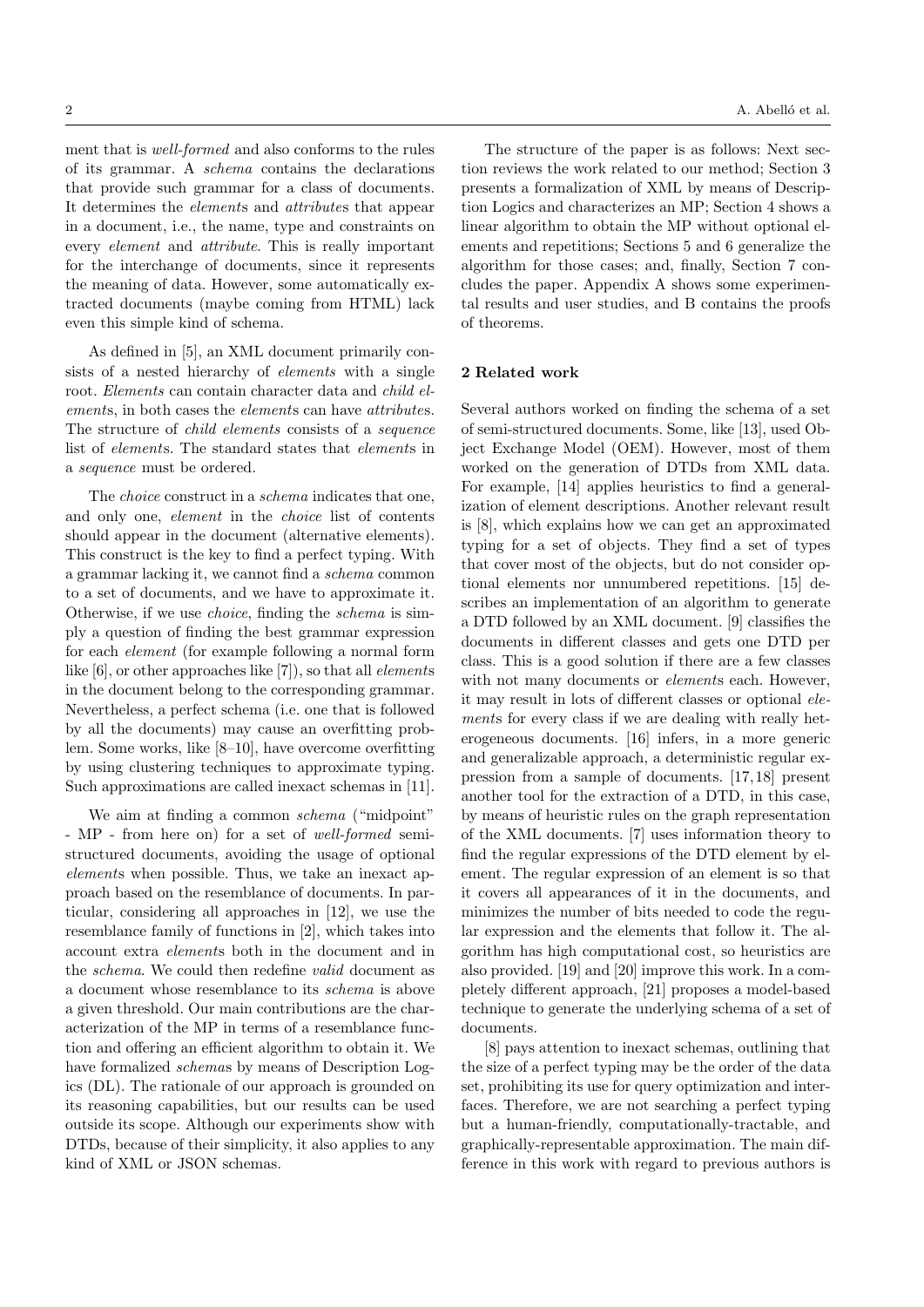ment that is well-formed and also conforms to the rules of its grammar. A schema contains the declarations that provide such grammar for a class of documents. It determines the elements and attributes that appear in a document, i.e., the name, type and constraints on every element and attribute. This is really important for the interchange of documents, since it represents the meaning of data. However, some automatically extracted documents (maybe coming from HTML) lack even this simple kind of schema.

As defined in [5], an XML document primarily consists of a nested hierarchy of elements with a single root. Elements can contain character data and child elements, in both cases the elements can have attributes. The structure of child elements consists of a sequence list of elements. The standard states that elements in a sequence must be ordered.

The *choice* construct in a *schema* indicates that one, and only one, element in the choice list of contents should appear in the document (alternative elements). This construct is the key to find a perfect typing. With a grammar lacking it, we cannot find a schema common to a set of documents, and we have to approximate it. Otherwise, if we use choice, finding the schema is simply a question of finding the best grammar expression for each element (for example following a normal form like [6], or other approaches like [7]), so that all elements in the document belong to the corresponding grammar. Nevertheless, a perfect schema (i.e. one that is followed by all the documents) may cause an overfitting problem. Some works, like [8–10], have overcome overfitting by using clustering techniques to approximate typing. Such approximations are called inexact schemas in [11].

We aim at finding a common schema ("midpoint" - MP - from here on) for a set of well-formed semistructured documents, avoiding the usage of optional elements when possible. Thus, we take an inexact approach based on the resemblance of documents. In particular, considering all approaches in [12], we use the resemblance family of functions in [2], which takes into account extra elements both in the document and in the schema. We could then redefine valid document as a document whose resemblance to its schema is above a given threshold. Our main contributions are the characterization of the MP in terms of a resemblance function and offering an efficient algorithm to obtain it. We have formalized schemas by means of Description Logics (DL). The rationale of our approach is grounded on its reasoning capabilities, but our results can be used outside its scope. Although our experiments show with DTDs, because of their simplicity, it also applies to any kind of XML or JSON schemas.

The structure of the paper is as follows: Next section reviews the work related to our method; Section 3 presents a formalization of XML by means of Description Logics and characterizes an MP; Section 4 shows a linear algorithm to obtain the MP without optional elements and repetitions; Sections 5 and 6 generalize the algorithm for those cases; and, finally, Section 7 concludes the paper. Appendix A shows some experimental results and user studies, and B contains the proofs of theorems.

#### 2 Related work

Several authors worked on finding the schema of a set of semi-structured documents. Some, like [13], used Object Exchange Model (OEM). However, most of them worked on the generation of DTDs from XML data. For example, [14] applies heuristics to find a generalization of element descriptions. Another relevant result is [8], which explains how we can get an approximated typing for a set of objects. They find a set of types that cover most of the objects, but do not consider optional elements nor unnumbered repetitions. [15] describes an implementation of an algorithm to generate a DTD followed by an XML document. [9] classifies the documents in different classes and gets one DTD per class. This is a good solution if there are a few classes with not many documents or *elements* each. However, it may result in lots of different classes or optional elements for every class if we are dealing with really heterogeneous documents. [16] infers, in a more generic and generalizable approach, a deterministic regular expression from a sample of documents. [17, 18] present another tool for the extraction of a DTD, in this case, by means of heuristic rules on the graph representation of the XML documents. [7] uses information theory to find the regular expressions of the DTD element by element. The regular expression of an element is so that it covers all appearances of it in the documents, and minimizes the number of bits needed to code the regular expression and the elements that follow it. The algorithm has high computational cost, so heuristics are also provided. [19] and [20] improve this work. In a completely different approach, [21] proposes a model-based technique to generate the underlying schema of a set of documents.

[8] pays attention to inexact schemas, outlining that the size of a perfect typing may be the order of the data set, prohibiting its use for query optimization and interfaces. Therefore, we are not searching a perfect typing but a human-friendly, computationally-tractable, and graphically-representable approximation. The main difference in this work with regard to previous authors is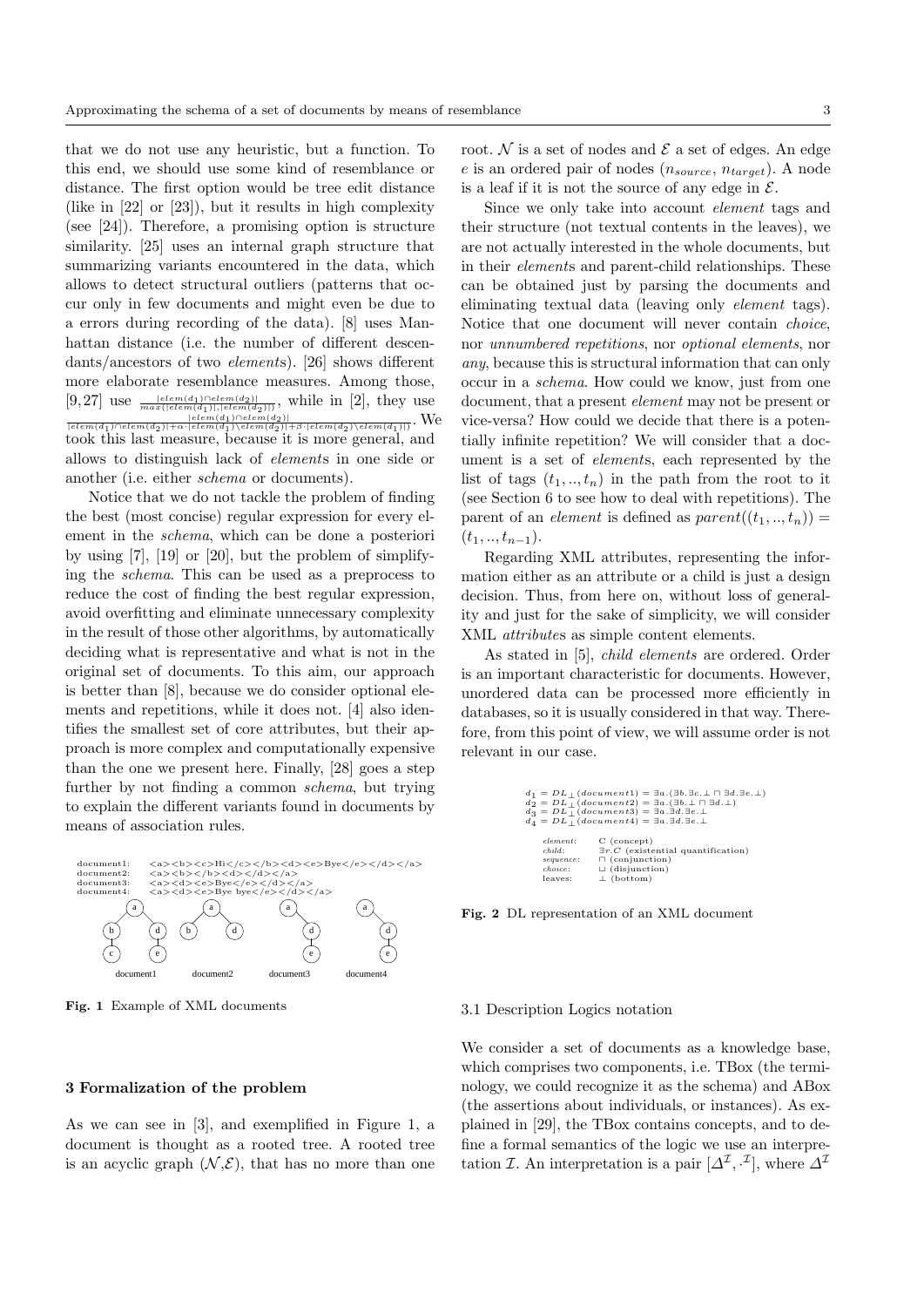that we do not use any heuristic, but a function. To this end, we should use some kind of resemblance or distance. The first option would be tree edit distance (like in [22] or [23]), but it results in high complexity (see [24]). Therefore, a promising option is structure similarity. [25] uses an internal graph structure that summarizing variants encountered in the data, which allows to detect structural outliers (patterns that occur only in few documents and might even be due to a errors during recording of the data). [8] uses Manhattan distance (i.e. the number of different descendants/ancestors of two elements). [26] shows different more elaborate resemblance measures. Among those,  $[9,27]$  use  $\frac{|elem(d_1) \cap elem(d_2)|}{max(|elem(d_1)|,|elem(d_2)|)},$  while in  $[2],$  they use  $\frac{|elem(d_1) \cap elem(d_2)|}{|elem(d_1) \cap elem(d_2)|+ \alpha \cdot |elem(d_1) \setminus elem(d_2)|+ \beta \cdot |elem(d_2) \setminus elem(d_1)|)}$ . We took this last measure, because it is more general, and allows to distinguish lack of elements in one side or another (i.e. either schema or documents).

Notice that we do not tackle the problem of finding the best (most concise) regular expression for every element in the schema, which can be done a posteriori by using [7], [19] or [20], but the problem of simplifying the schema. This can be used as a preprocess to reduce the cost of finding the best regular expression, avoid overfitting and eliminate unnecessary complexity in the result of those other algorithms, by automatically deciding what is representative and what is not in the original set of documents. To this aim, our approach is better than [8], because we do consider optional elements and repetitions, while it does not. [4] also identifies the smallest set of core attributes, but their approach is more complex and computationally expensive than the one we present here. Finally, [28] goes a step further by not finding a common schema, but trying to explain the different variants found in documents by means of association rules.



Fig. 1 Example of XML documents

#### 3 Formalization of the problem

As we can see in [3], and exemplified in Figure 1, a document is thought as a rooted tree. A rooted tree is an acyclic graph  $(\mathcal{N}, \mathcal{E})$ , that has no more than one

root.  $\mathcal N$  is a set of nodes and  $\mathcal E$  a set of edges. An edge e is an ordered pair of nodes  $(n_{source}, n_{target})$ . A node is a leaf if it is not the source of any edge in  $\mathcal{E}$ .

Since we only take into account element tags and their structure (not textual contents in the leaves), we are not actually interested in the whole documents, but in their elements and parent-child relationships. These can be obtained just by parsing the documents and eliminating textual data (leaving only element tags). Notice that one document will never contain choice, nor unnumbered repetitions, nor optional elements, nor any, because this is structural information that can only occur in a schema. How could we know, just from one document, that a present *element* may not be present or vice-versa? How could we decide that there is a potentially infinite repetition? We will consider that a document is a set of elements, each represented by the list of tags  $(t_1, ..., t_n)$  in the path from the root to it (see Section 6 to see how to deal with repetitions). The parent of an *element* is defined as  $parent((t_1, ..., t_n)) =$  $(t_1, ..., t_{n-1}).$ 

Regarding XML attributes, representing the information either as an attribute or a child is just a design decision. Thus, from here on, without loss of generality and just for the sake of simplicity, we will consider XML attributes as simple content elements.

As stated in [5], child elements are ordered. Order is an important characteristic for documents. However, unordered data can be processed more efficiently in databases, so it is usually considered in that way. Therefore, from this point of view, we will assume order is not relevant in our case.

 $\begin{array}{l} d_1 = DL_{\bot}(document1) = \exists a.(\exists b. \exists c. \bot \sqcap \exists d. \exists e. \bot) \\ d_2 = DL_{\bot}(document2) = \exists a.(\exists b. \bot \sqcap \exists d. \bot) \\ d_3 = DL_{\bot}(document3) = \exists a. \exists d. \exists e. \bot \\ d_4 = DL_{\bot}(document4) = \exists a. \exists d. \exists e. \bot \end{array}$  $\begin{array}{ll}\n\textit{element:} & \text{C (concept)} \\
\textit{child:} & \exists r.C \text{ (existential quantification)}\n\end{array}$ sequence:  $\Box$  (conjunction)<br>choice:  $\Box$  (disjunction) choice:  $\Box$  (disjunction)<br>leaves:  $\bot$  (bottom)

Fig. 2 DL representation of an XML document

#### 3.1 Description Logics notation

We consider a set of documents as a knowledge base, which comprises two components, i.e. TBox (the terminology, we could recognize it as the schema) and ABox (the assertions about individuals, or instances). As explained in [29], the TBox contains concepts, and to define a formal semantics of the logic we use an interpretation *I*. An interpretation is a pair  $[\Delta^{\mathcal{I}}, \cdot^{\mathcal{I}}]$ , where  $\Delta^{\mathcal{I}}$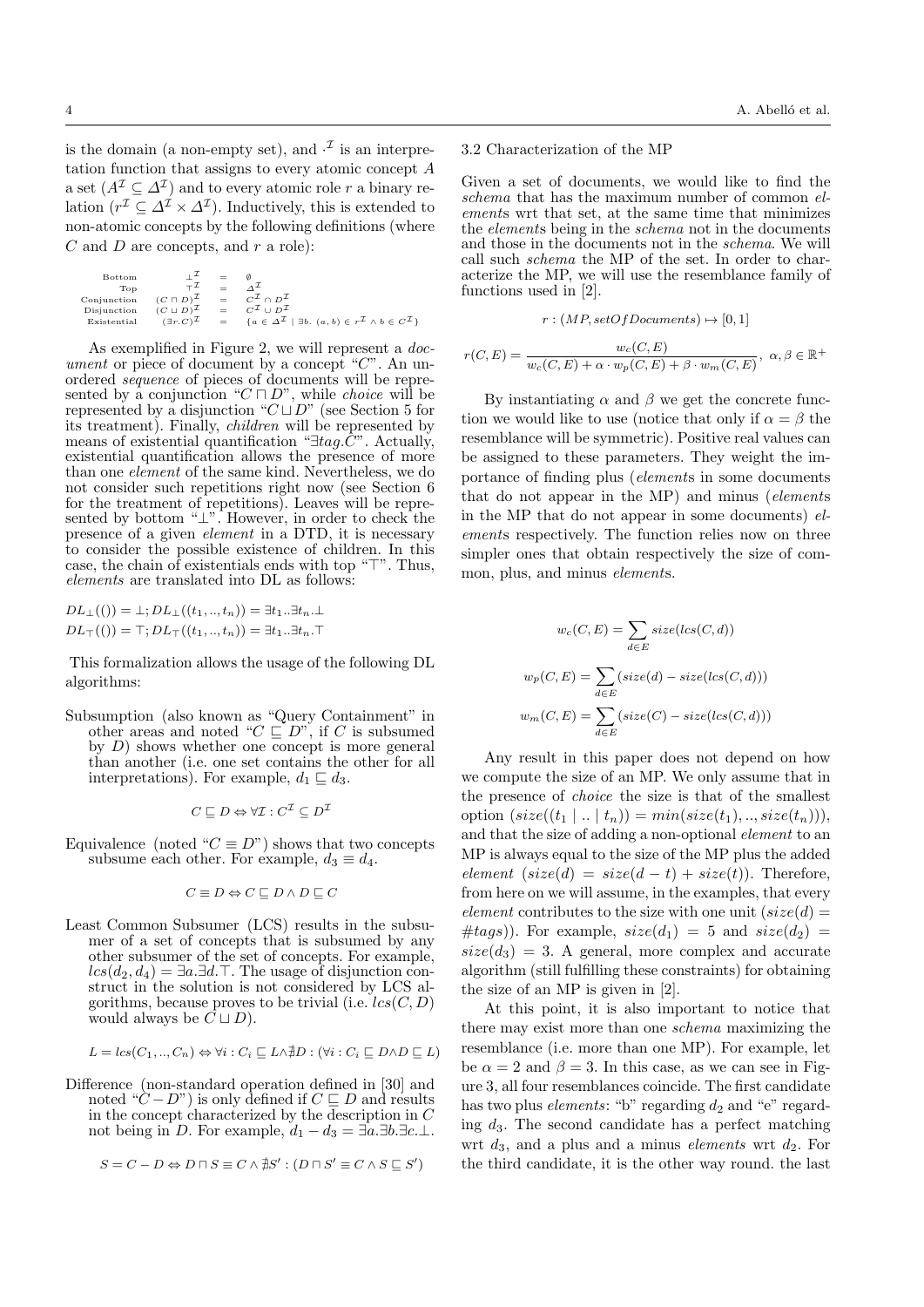is the domain (a non-empty set), and  $\cdot^{\mathcal{I}}$  is an interpretation function that assigns to every atomic concept A a set  $(A^{\mathcal{I}} \subseteq \Delta^{\mathcal{I}})$  and to every atomic role r a binary relation  $(r^{\mathcal{I}} \subseteq \Delta^{\mathcal{I}} \times \Delta^{\mathcal{I}})$ . Inductively, this is extended to non-atomic concepts by the following definitions (where  $C$  and  $D$  are concepts, and  $r$  a role):

| Bottom      |                         |                   |                                                                                                       |
|-------------|-------------------------|-------------------|-------------------------------------------------------------------------------------------------------|
| Top         |                         |                   |                                                                                                       |
| Conjunction | $(C \sqcap D)^{\perp}$  | $\qquad \qquad =$ | $C^{\mathcal{I}} \cap D^{\mathcal{I}}$                                                                |
| Disjunction | $(C \sqcup D)^{\perp}$  |                   | $C^{\mathcal{I}} \cup D^{\mathcal{I}}$                                                                |
| Existential | $(\exists r.C)^{\perp}$ | $=$               | ${a \in \Delta^{\mathcal{I}} \mid \exists b. (a, b) \in r^{\mathcal{I}} \land b \in C^{\mathcal{I}}}$ |

As exemplified in Figure 2, we will represent a document or piece of document by a concept " $C$ ". An unordered sequence of pieces of documents will be represented by a conjunction " $C \sqcap D$ ", while *choice* will be represented by a disjunction " $C \sqcup D$ " (see Section 5 for its treatment). Finally, children will be represented by means of existential quantification " $\exists taq.\dot{C}$ ". Actually, existential quantification allows the presence of more than one element of the same kind. Nevertheless, we do not consider such repetitions right now (see Section 6 for the treatment of repetitions). Leaves will be represented by bottom "⊥". However, in order to check the presence of a given element in a DTD, it is necessary to consider the possible existence of children. In this case, the chain of existentials ends with top " $\top$ ". Thus, elements are translated into DL as follows:

$$
DL_{\perp}(()) = \perp; DL_{\perp}((t_1,..,t_n)) = \exists t_1..\exists t_n.\perp
$$
  

$$
DL_{\top}(()) = \top; DL_{\top}((t_1,..,t_n)) = \exists t_1..\exists t_n.\top
$$

This formalization allows the usage of the following DL algorithms:

Subsumption (also known as "Query Containment" in other areas and noted " $C \sqsubseteq D$ ", if C is subsumed by  $D$ ) shows whether one concept is more general than another (i.e. one set contains the other for all interpretations). For example,  $d_1 \sqsubseteq d_3$ .

$$
C \sqsubseteq D \Leftrightarrow \forall \mathcal{I} : C^{\mathcal{I}} \subseteq D^{\mathcal{I}}
$$

Equivalence (noted " $C \equiv D$ ") shows that two concepts subsume each other. For example,  $d_3 \equiv d_4$ .

$$
C \equiv D \Leftrightarrow C \sqsubseteq D \wedge D \sqsubseteq C
$$

Least Common Subsumer (LCS) results in the subsumer of a set of concepts that is subsumed by any other subsumer of the set of concepts. For example,  $lcs(d_2, d_4) = \exists a \cdot \exists d \cdot \top$ . The usage of disjunction construct in the solution is not considered by LCS algorithms, because proves to be trivial (i.e.  $lcs(C, D)$ ) would always be  $C \sqcup D$ .

$$
L = \text{lcs}(C_1, \ldots, C_n) \Leftrightarrow \forall i : C_i \sqsubseteq L \wedge \nexists D : (\forall i : C_i \sqsubseteq D \wedge D \sqsubseteq L)
$$

Difference (non-standard operation defined in [30] and noted " $\hat{C} - D$ ") is only defined if  $C \sqsubseteq D$  and results in the concept characterized by the description in  $C$ not being in D. For example,  $d_1 - d_3 = \exists a.\exists b.\exists c.\bot$ .

$$
S = C - D \Leftrightarrow D \sqcap S \equiv C \wedge \overline{\sharp} S' : (D \sqcap S' \equiv C \wedge S \sqsubseteq S')
$$

## 3.2 Characterization of the MP

Given a set of documents, we would like to find the schema that has the maximum number of common elements wrt that set, at the same time that minimizes the elements being in the schema not in the documents and those in the documents not in the schema. We will call such schema the MP of the set. In order to characterize the MP, we will use the resemblance family of functions used in [2].

$$
r: (MP, setOfDownents) \rightarrow [0, 1]
$$

$$
r(C, E) = \frac{w_c(C, E)}{w_c(C, E) + \alpha \cdot w_p(C, E) + \beta \cdot w_m(C, E)}, \ \alpha, \beta \in \mathbb{R}^+
$$

By instantiating  $\alpha$  and  $\beta$  we get the concrete function we would like to use (notice that only if  $\alpha = \beta$  the resemblance will be symmetric). Positive real values can be assigned to these parameters. They weight the importance of finding plus (elements in some documents that do not appear in the MP) and minus (elements in the MP that do not appear in some documents) elements respectively. The function relies now on three simpler ones that obtain respectively the size of common, plus, and minus elements.

$$
w_c(C, E) = \sum_{d \in E} size(lcs(C, d))
$$

$$
w_p(C, E) = \sum_{d \in E} (size(d) - size(lcs(C, d)))
$$

$$
w_m(C, E) = \sum_{d \in E} (size(C) - size(lcs(C, d)))
$$

Any result in this paper does not depend on how we compute the size of an MP. We only assume that in the presence of choice the size is that of the smallest option  $(size((t_1 | .. | t_n)) = min(size(t_1),..,size(t_n))),$ and that the size of adding a non-optional *element* to an MP is always equal to the size of the MP plus the added element  $(size(d) = size(d - t) + size(t))$ . Therefore, from here on we will assume, in the examples, that every element contributes to the size with one unit  $(size(d) =$  $\#tags)$ ). For example,  $size(d_1) = 5$  and  $size(d_2) =$  $size(d_3) = 3$ . A general, more complex and accurate algorithm (still fulfilling these constraints) for obtaining the size of an MP is given in [2].

At this point, it is also important to notice that there may exist more than one schema maximizing the resemblance (i.e. more than one MP). For example, let be  $\alpha = 2$  and  $\beta = 3$ . In this case, as we can see in Figure 3, all four resemblances coincide. The first candidate has two plus *elements*: "b" regarding  $d_2$  and "e" regarding  $d_3$ . The second candidate has a perfect matching wrt  $d_3$ , and a plus and a minus *elements* wrt  $d_2$ . For the third candidate, it is the other way round. the last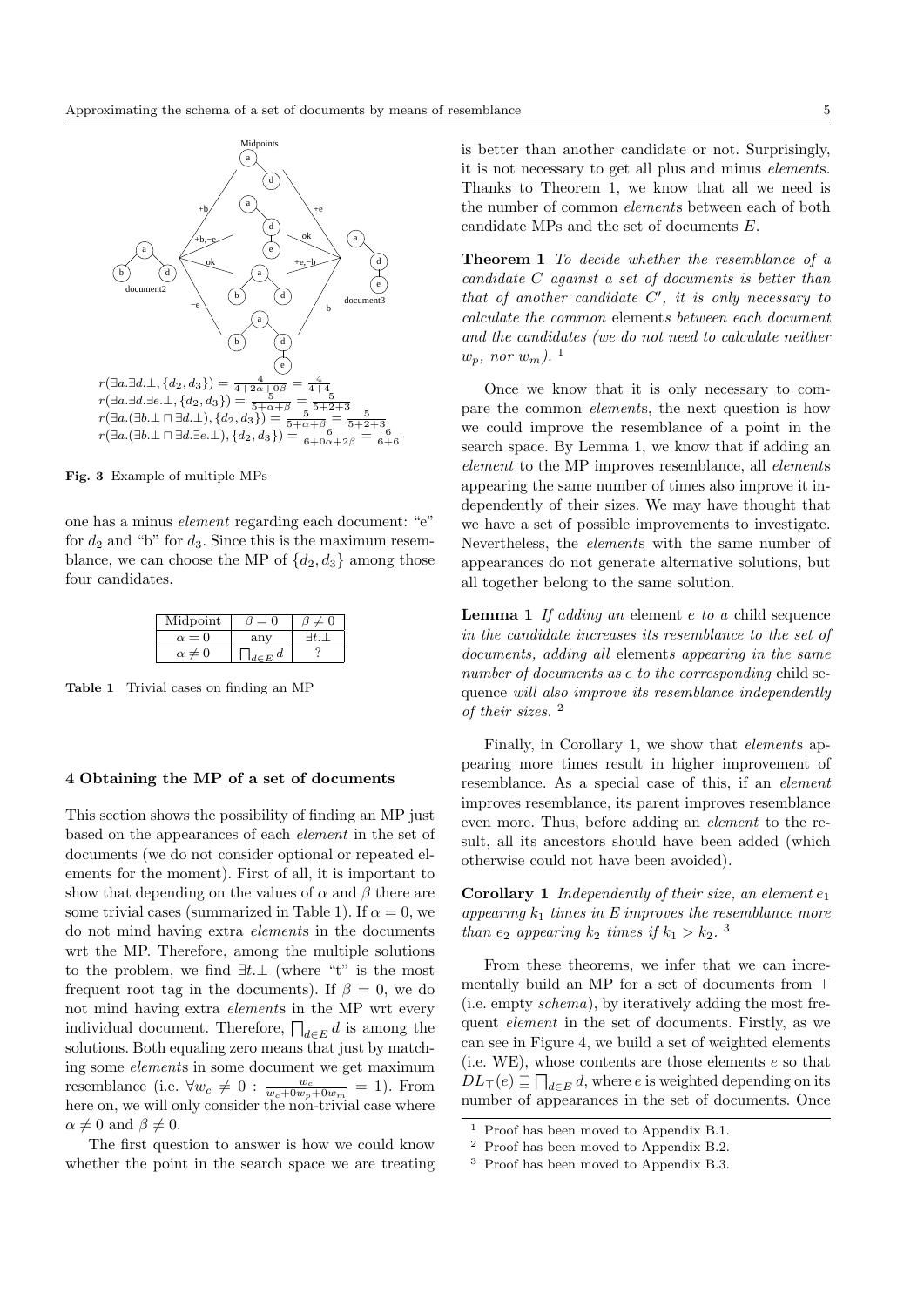

Fig. 3 Example of multiple MPs

one has a minus element regarding each document: "e" for  $d_2$  and "b" for  $d_3$ . Since this is the maximum resemblance, we can choose the MP of  $\{d_2, d_3\}$  among those four candidates.

| Midpoint        | $= 0$  |  |
|-----------------|--------|--|
| $\alpha = 0$    | any    |  |
| $\alpha \neq 0$ | $-E^a$ |  |

Table 1 Trivial cases on finding an MP

## 4 Obtaining the MP of a set of documents

This section shows the possibility of finding an MP just based on the appearances of each element in the set of documents (we do not consider optional or repeated elements for the moment). First of all, it is important to show that depending on the values of  $\alpha$  and  $\beta$  there are some trivial cases (summarized in Table 1). If  $\alpha = 0$ , we do not mind having extra elements in the documents wrt the MP. Therefore, among the multiple solutions to the problem, we find  $\exists t \perp$  (where "t" is the most frequent root tag in the documents). If  $\beta = 0$ , we do not mind having extra elements in the MP wrt every individual document. Therefore,  $\prod_{d \in E} d$  is among the solutions. Both equaling zero means that just by matching some elements in some document we get maximum resemblance (i.e.  $\forall w_c \neq 0 : \frac{w_c}{w_c + 0w_p + 0w_m} = 1$ ). From here on, we will only consider the non-trivial case where  $\alpha \neq 0$  and  $\beta \neq 0$ .

The first question to answer is how we could know whether the point in the search space we are treating is better than another candidate or not. Surprisingly, it is not necessary to get all plus and minus elements. Thanks to Theorem 1, we know that all we need is the number of common elements between each of both candidate MPs and the set of documents E.

Theorem 1 To decide whether the resemblance of a candidate C against a set of documents is better than that of another candidate  $C'$ , it is only necessary to calculate the common elements between each document and the candidates (we do not need to calculate neither  $w_p$ , nor  $w_m$ ). <sup>1</sup>

Once we know that it is only necessary to compare the common elements, the next question is how we could improve the resemblance of a point in the search space. By Lemma 1, we know that if adding an element to the MP improves resemblance, all elements appearing the same number of times also improve it independently of their sizes. We may have thought that we have a set of possible improvements to investigate. Nevertheless, the elements with the same number of appearances do not generate alternative solutions, but all together belong to the same solution.

**Lemma 1** If adding an element  $e$  to a child sequence in the candidate increases its resemblance to the set of documents, adding all elements appearing in the same number of documents as e to the corresponding child sequence will also improve its resemblance independently of their sizes. <sup>2</sup>

Finally, in Corollary 1, we show that elements appearing more times result in higher improvement of resemblance. As a special case of this, if an element improves resemblance, its parent improves resemblance even more. Thus, before adding an element to the result, all its ancestors should have been added (which otherwise could not have been avoided).

**Corollary 1** Independently of their size, an element  $e_1$ appearing  $k_1$  times in E improves the resemblance more than  $e_2$  appearing  $k_2$  times if  $k_1 > k_2$ .<sup>3</sup>

From these theorems, we infer that we can incrementally build an MP for a set of documents from  $\top$ (i.e. empty schema), by iteratively adding the most frequent element in the set of documents. Firstly, as we can see in Figure 4, we build a set of weighted elements (i.e. WE), whose contents are those elements  $e$  so that  $DL_{\top}(e) \sqsupseteq \prod_{d \in E} d$ , where e is weighted depending on its number of appearances in the set of documents. Once

<sup>1</sup> Proof has been moved to Appendix B.1.

<sup>2</sup> Proof has been moved to Appendix B.2.

<sup>3</sup> Proof has been moved to Appendix B.3.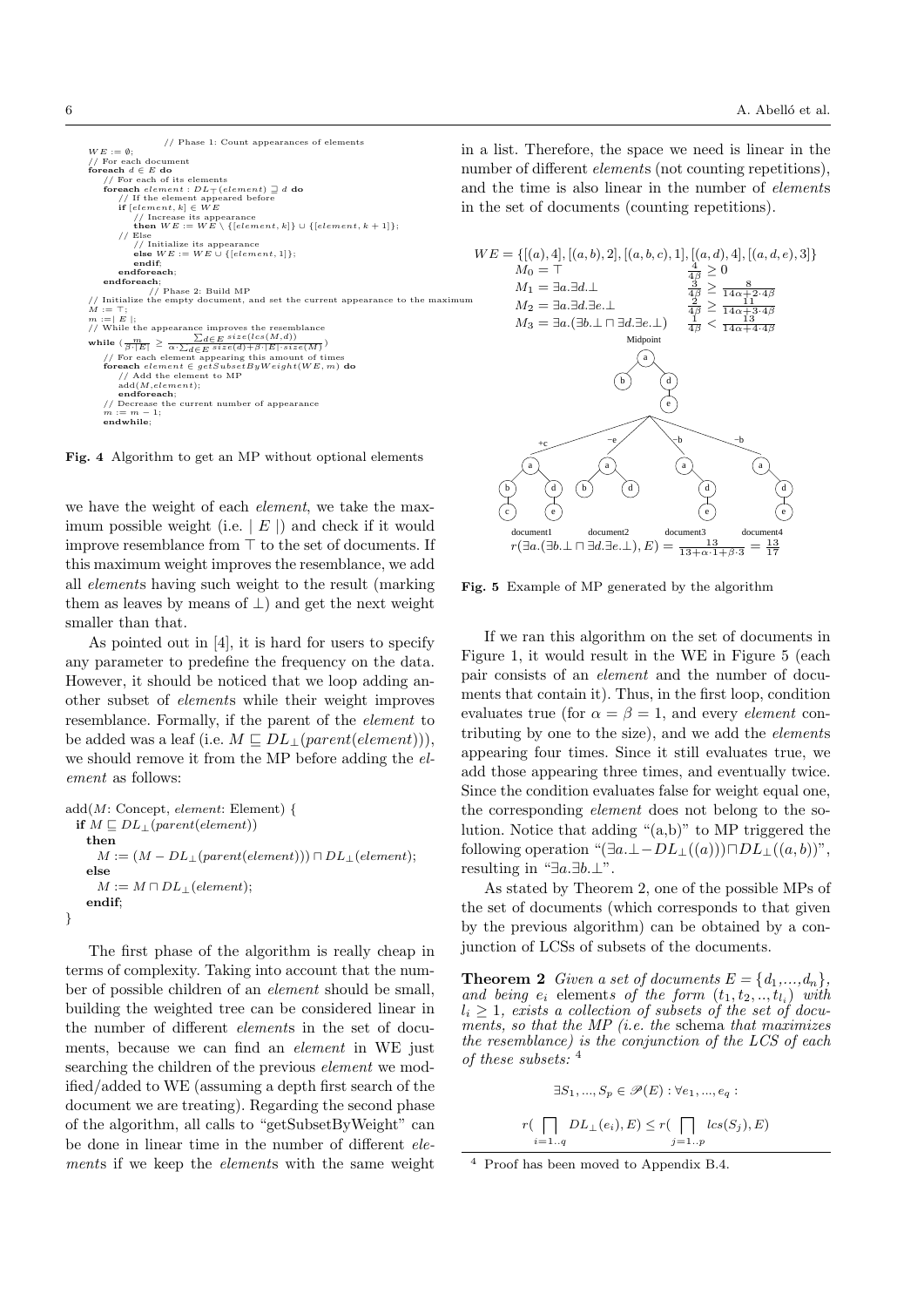// Phase 1: Count appearances of elements  $WE := \emptyset;$ <br>// For each document<br>**foreach**  $d \in E$  **do** // For each of its elements foreach element : DL<sub>T</sub> (element)  $\exists d$  do<br>
// If the element appeared before<br>
if  $[element, k] \in WE$ <br>
// Increase its appearance<br>
then WE := WE \ {[element, k]} ∪ {[element, k + 1]}; *//* Else<br> *//* Initialize its appearance<br> **else**  $WE := WE ∪ {[element, 1]};$ <br> **endif**; endforeach; endforeach; // Initialize the empty document, and set the current appearance to the maximum  $M := \top;$  $m := |E|$ ;<br>// While the appearance improves the resemblance  $\textnormal{while }(\frac{m}{\beta\cdot|E|}\geq\frac{\sum_{d\in E}size(lcs(M,d))}{\alpha\cdot\sum_{d\in E}size(d)+\beta\cdot|E|\cdot size(M)})$ // For each element appearing this amount of times<br>**foreach** element ∈ getSubsetByWeight(WE, m) **do**<br>// Add the element to MP  $\hspace{0.01in}\begin{array}{l} \text{\it Add the element} \\ \text{add}(\textit{M}, \textit{element}); \end{array}$ endforeach; // Decrease the current number of appearance  $m := m - 1$ ;  $m - m$ <br>endwhile;

Fig. 4 Algorithm to get an MP without optional elements

we have the weight of each element, we take the maximum possible weight (i.e.  $|E|$ ) and check if it would improve resemblance from  $\top$  to the set of documents. If this maximum weight improves the resemblance, we add all elements having such weight to the result (marking them as leaves by means of  $\perp$ ) and get the next weight smaller than that.

As pointed out in [4], it is hard for users to specify any parameter to predefine the frequency on the data. However, it should be noticed that we loop adding another subset of elements while their weight improves resemblance. Formally, if the parent of the element to be added was a leaf (i.e.  $M \sqsubset DL_{\perp}(parent(element))).$ we should remove it from the MP before adding the  $el$ ement as follows:

```
add(M: Concept, element: Element) {
 if M \sqsubseteq DL_{\perp}(parent(element))then
      M := (M - DL_{\perp}(parent(element))) \sqcap DL_{\perp}(element);else
      M := M \sqcap DL_{\perp}(element);endif;
}
```
The first phase of the algorithm is really cheap in terms of complexity. Taking into account that the number of possible children of an element should be small, building the weighted tree can be considered linear in the number of different elements in the set of documents, because we can find an element in WE just searching the children of the previous element we modified/added to WE (assuming a depth first search of the document we are treating). Regarding the second phase of the algorithm, all calls to "getSubsetByWeight" can be done in linear time in the number of different elements if we keep the elements with the same weight

in a list. Therefore, the space we need is linear in the number of different *elements* (not counting repetitions). and the time is also linear in the number of elements in the set of documents (counting repetitions).



Fig. 5 Example of MP generated by the algorithm

If we ran this algorithm on the set of documents in Figure 1, it would result in the WE in Figure 5 (each pair consists of an element and the number of documents that contain it). Thus, in the first loop, condition evaluates true (for  $\alpha = \beta = 1$ , and every *element* contributing by one to the size), and we add the elements appearing four times. Since it still evaluates true, we add those appearing three times, and eventually twice. Since the condition evaluates false for weight equal one, the corresponding element does not belong to the solution. Notice that adding "(a,b)" to MP triggered the following operation " $(\exists a.\bot - DL_{\perp}((a)))\sqcap DL_{\perp}((a, b))$ ", resulting in "∃a.∃b. $\perp$ ".

As stated by Theorem 2, one of the possible MPs of the set of documents (which corresponds to that given by the previous algorithm) can be obtained by a conjunction of LCSs of subsets of the documents.

**Theorem 2** Given a set of documents  $E = \{d_1, ..., d_n\}$ and being  $e_i$  elements of the form  $(t_1, t_2, ..., t_{l_i})$  with  $l_i \geq 1$ , exists a collection of subsets of the set of documents, so that the MP (i.e. the schema that maximizes the resemblance) is the conjunction of the LCS of each of these subsets: <sup>4</sup>

$$
\exists S_1, ..., S_p \in \mathscr{P}(E) : \forall e_1, ..., e_q :
$$
  

$$
r(\bigcap_{i=1..q} DL_{\perp}(e_i), E) \le r(\bigcap_{j=1..p} lcs(S_j), E)
$$

<sup>4</sup> Proof has been moved to Appendix B.4.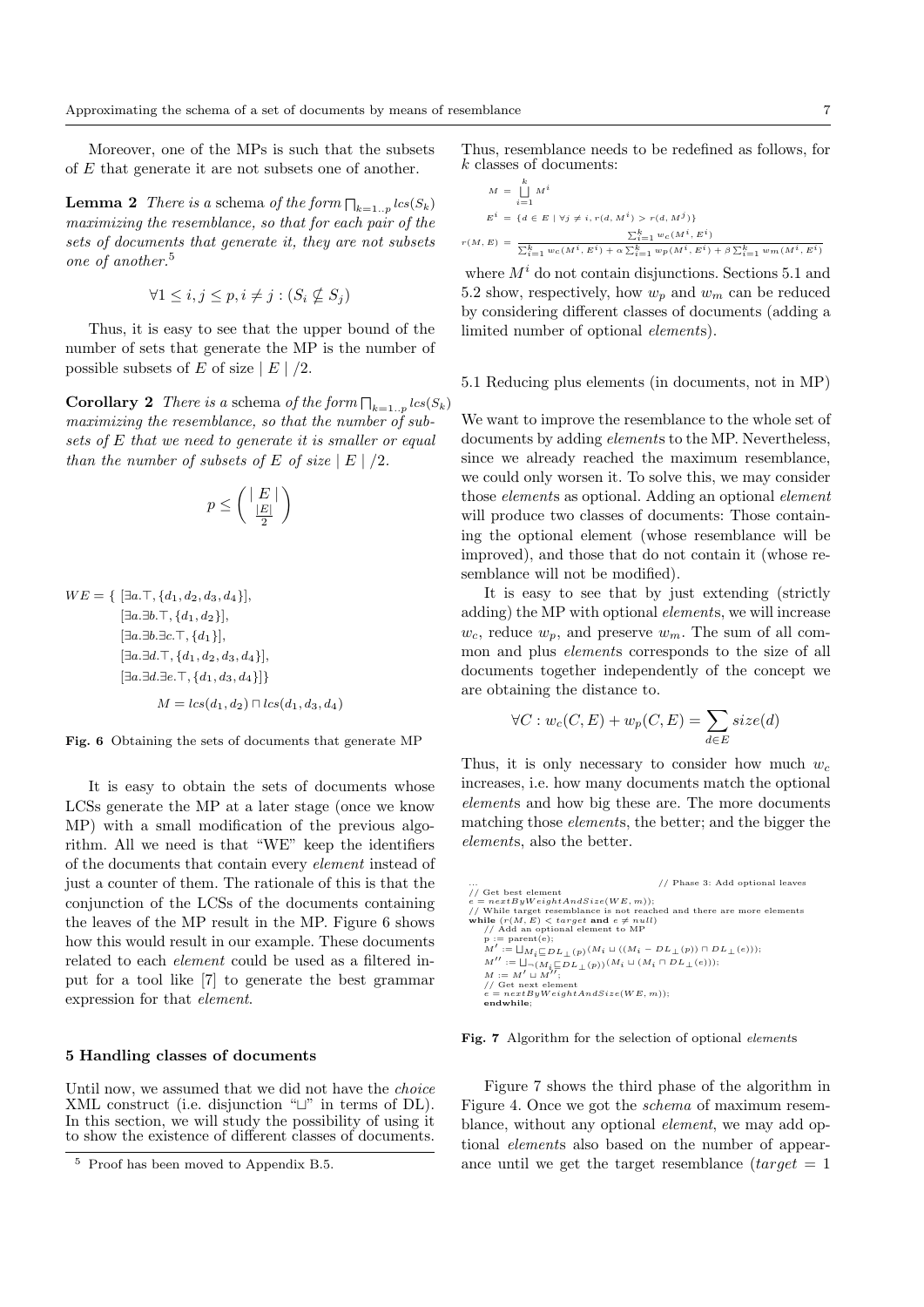Moreover, one of the MPs is such that the subsets of E that generate it are not subsets one of another.

**Lemma 2** There is a schema of the form  $\prod_{k=1..p} \log(S_k)$ maximizing the resemblance, so that for each pair of the sets of documents that generate it, they are not subsets one of another.<sup>5</sup>

$$
\forall 1 \le i, j \le p, i \ne j : (S_i \nsubseteq S_j)
$$

Thus, it is easy to see that the upper bound of the number of sets that generate the MP is the number of possible subsets of E of size  $|E|/2$ .

**Corollary 2** There is a schema of the form  $\bigcap_{k=1..p} \text{lcs}(S_k)$ maximizing the resemblance, so that the number of subsets of E that we need to generate it is smaller or equal than the number of subsets of E of size  $|E|/2$ .

$$
p \le \left(\frac{\mid E \mid}{\frac{|E|}{2}}\right)
$$

$$
WE = \{ [\exists a. \top, \{d_1, d_2, d_3, d_4\}],
$$
  
\n
$$
[\exists a. \exists b. \top, \{d_1, d_2\}],
$$
  
\n
$$
[\exists a. \exists b. \exists c. \top, \{d_1\}],
$$
  
\n
$$
[\exists a. \exists d. \top, \{d_1, d_2, d_3, d_4\}],
$$
  
\n
$$
[\exists a. \exists d. \exists e. \top, \{d_1, d_3, d_4\}]\}
$$
  
\n
$$
M = \{c s(d_1, d_2) \sqcap \{c s(d_1, d_3, d_4\}]\}
$$

Fig. 6 Obtaining the sets of documents that generate MP

It is easy to obtain the sets of documents whose LCSs generate the MP at a later stage (once we know MP) with a small modification of the previous algorithm. All we need is that "WE" keep the identifiers of the documents that contain every element instead of just a counter of them. The rationale of this is that the conjunction of the LCSs of the documents containing the leaves of the MP result in the MP. Figure 6 shows how this would result in our example. These documents related to each element could be used as a filtered input for a tool like [7] to generate the best grammar expression for that element.

## 5 Handling classes of documents

Until now, we assumed that we did not have the *choice* XML construct (i.e. disjunction " $\sqcup$ " in terms of DL). In this section, we will study the possibility of using it to show the existence of different classes of documents.

Thus, resemblance needs to be redefined as follows, for k classes of documents:

$$
\begin{aligned} M \, &= \, \bigcup_{i = 1}^k \, M^i \\ E^i \, &= \, \{ d \in E \mid \forall j \neq i, \, r(d, M^i) > r(d, M^j) \} \\ r(M, E) \, &= \, \frac{\sum_{i = 1}^k w_C(M^i, E^i)}{\sum_{i = 1}^k w_C(M^i, E^i) + \alpha \sum_{i = 1}^k w_P(M^i, E^i) + \beta \sum_{i = 1}^k w_m(M^i, E^i)} \end{aligned}
$$

where  $M<sup>i</sup>$  do not contain disjunctions. Sections 5.1 and 5.2 show, respectively, how  $w_p$  and  $w_m$  can be reduced by considering different classes of documents (adding a limited number of optional elements).

## 5.1 Reducing plus elements (in documents, not in MP)

We want to improve the resemblance to the whole set of documents by adding elements to the MP. Nevertheless, since we already reached the maximum resemblance, we could only worsen it. To solve this, we may consider those *elements* as optional. Adding an optional *element* will produce two classes of documents: Those containing the optional element (whose resemblance will be improved), and those that do not contain it (whose resemblance will not be modified).

It is easy to see that by just extending (strictly adding) the MP with optional elements, we will increase  $w_c$ , reduce  $w_p$ , and preserve  $w_m$ . The sum of all common and plus elements corresponds to the size of all documents together independently of the concept we are obtaining the distance to.

$$
\forall C: w_c(C, E) + w_p(C, E) = \sum_{d \in E} size(d)
$$

Thus, it is only necessary to consider how much  $w_c$ increases, i.e. how many documents match the optional elements and how big these are. The more documents matching those elements, the better; and the bigger the elements, also the better.

| // Phase 3: Add optional leaves<br>$\cdots$                                                                                                     |
|-------------------------------------------------------------------------------------------------------------------------------------------------|
| // Get best element                                                                                                                             |
| $e = nextByWeightAndSize(WE, m));$                                                                                                              |
| // While target resemblance is not reached and there are more elements                                                                          |
| while $(r(M, E) < target$ and $e \neq null$                                                                                                     |
| // Add an optional element to MP                                                                                                                |
| $p := parent(e);$                                                                                                                               |
| $M':=\textstyle\bigsqcup_{M_i\,\sqsubseteq\,DL_+(p)}(M_i\sqcup((M_i-DL_\perp(p))\sqcap DL_\perp(e))),$                                          |
| $M^{\prime\prime}:=\dot{\bigsqcup\cap (M_{i}\sqsubseteq D L_{\,\,\cup\,\,}(p))}(M_{i}\sqcup (M_{i}\sqcap \overset{-}{D} L_{\,\,\bot\,\,}(e))),$ |
| $M := M' \sqcup M''$                                                                                                                            |
| // Get next element                                                                                                                             |
| $e = nextByWeightAndSize(WE, m));$                                                                                                              |
| endwhile:                                                                                                                                       |

Fig. 7 Algorithm for the selection of optional elements

Figure 7 shows the third phase of the algorithm in Figure 4. Once we got the schema of maximum resemblance, without any optional element, we may add optional elements also based on the number of appearance until we get the target resemblance  $(target = 1$ 

<sup>5</sup> Proof has been moved to Appendix B.5.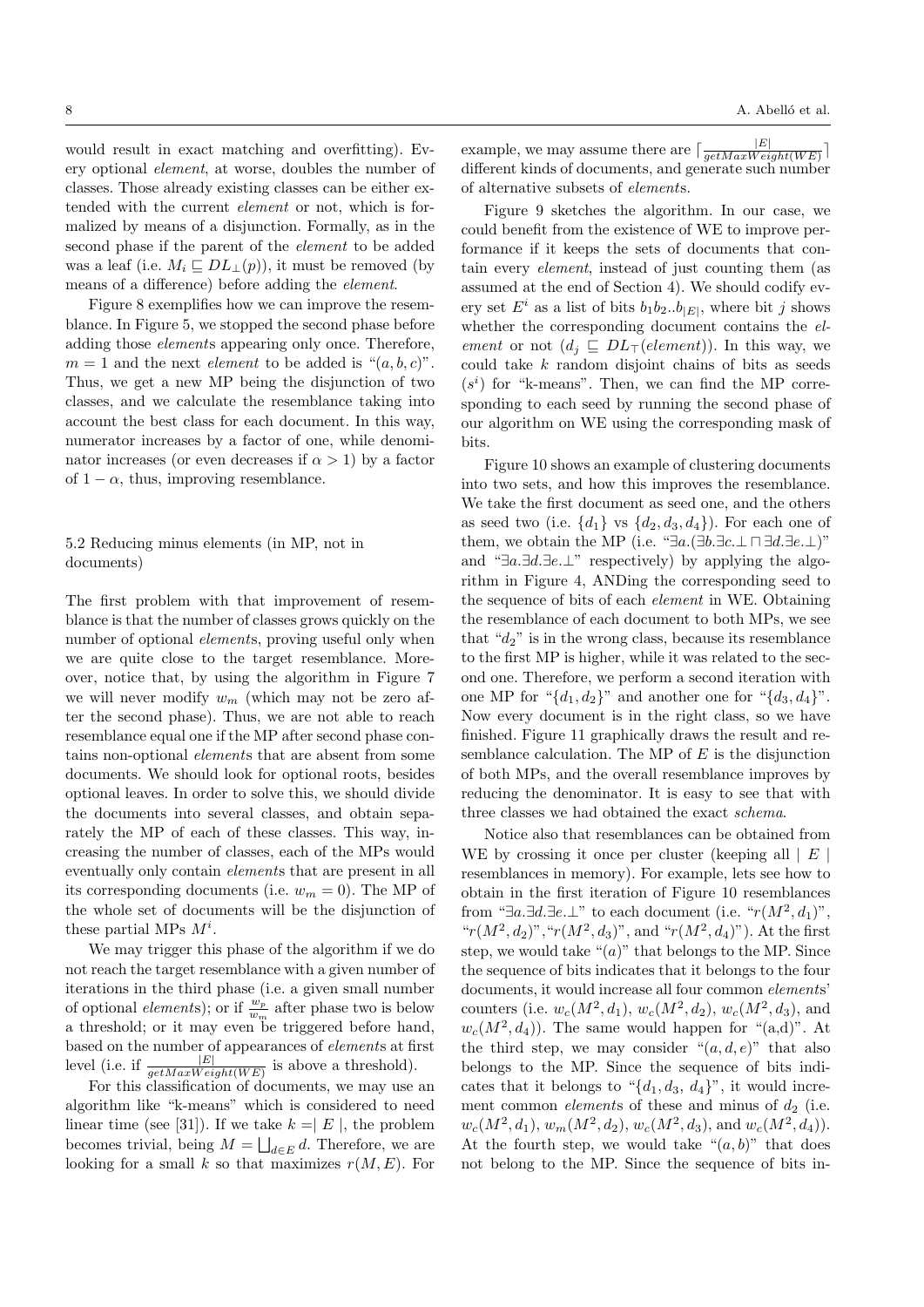would result in exact matching and overfitting). Every optional element, at worse, doubles the number of classes. Those already existing classes can be either extended with the current element or not, which is formalized by means of a disjunction. Formally, as in the second phase if the parent of the element to be added was a leaf (i.e.  $M_i \sqsubset DL_{\perp}(p)$ ), it must be removed (by means of a difference) before adding the element.

Figure 8 exemplifies how we can improve the resemblance. In Figure 5, we stopped the second phase before adding those elements appearing only once. Therefore,  $m = 1$  and the next *element* to be added is " $(a, b, c)$ ". Thus, we get a new MP being the disjunction of two classes, and we calculate the resemblance taking into account the best class for each document. In this way, numerator increases by a factor of one, while denominator increases (or even decreases if  $\alpha > 1$ ) by a factor of  $1 - \alpha$ , thus, improving resemblance.

# 5.2 Reducing minus elements (in MP, not in documents)

The first problem with that improvement of resemblance is that the number of classes grows quickly on the number of optional *elements*, proving useful only when we are quite close to the target resemblance. Moreover, notice that, by using the algorithm in Figure 7 we will never modify  $w_m$  (which may not be zero after the second phase). Thus, we are not able to reach resemblance equal one if the MP after second phase contains non-optional elements that are absent from some documents. We should look for optional roots, besides optional leaves. In order to solve this, we should divide the documents into several classes, and obtain separately the MP of each of these classes. This way, increasing the number of classes, each of the MPs would eventually only contain elements that are present in all its corresponding documents (i.e.  $w_m = 0$ ). The MP of the whole set of documents will be the disjunction of these partial MPs  $M^i$ .

We may trigger this phase of the algorithm if we do not reach the target resemblance with a given number of iterations in the third phase (i.e. a given small number of optional *elements*); or if  $\frac{w_p}{w_m}$  after phase two is below a threshold; or it may even be triggered before hand, based on the number of appearances of elements at first level (i.e. if  $\frac{|E|}{getMaxWeight(WE)}$  is above a threshold).

For this classification of documents, we may use an algorithm like "k-means" which is considered to need linear time (see [31]). If we take  $k = |E|$ , the problem becomes trivial, being  $M = \bigsqcup_{d \in E} d$ . Therefore, we are looking for a small k so that maximizes  $r(M, E)$ . For

example, we may assume there are  $\lceil \frac{|E|}{getMaxWeight(WE)} \rceil$  $|E|$ different kinds of documents, and generate such number of alternative subsets of elements.

Figure 9 sketches the algorithm. In our case, we could benefit from the existence of WE to improve performance if it keeps the sets of documents that contain every element, instead of just counting them (as assumed at the end of Section 4). We should codify every set  $E^i$  as a list of bits  $b_1b_2..b_{|E|}$ , where bit j shows whether the corresponding document contains the  $el$ ement or not  $(d_i \sqsubseteq DL_{\top}(element))$ . In this way, we could take  $k$  random disjoint chains of bits as seeds  $(s<sup>i</sup>)$  for "k-means". Then, we can find the MP corresponding to each seed by running the second phase of our algorithm on WE using the corresponding mask of bits.

Figure 10 shows an example of clustering documents into two sets, and how this improves the resemblance. We take the first document as seed one, and the others as seed two (i.e.  $\{d_1\}$  vs  $\{d_2, d_3, d_4\}$ ). For each one of them, we obtain the MP (i.e. " $\exists a.(\exists b.\exists c.\bot \sqcap \exists d.\exists e.\bot)$ " and "∃a.∃d.∃e.⊥" respectively) by applying the algorithm in Figure 4, ANDing the corresponding seed to the sequence of bits of each element in WE. Obtaining the resemblance of each document to both MPs, we see that " $d_2$ " is in the wrong class, because its resemblance to the first MP is higher, while it was related to the second one. Therefore, we perform a second iteration with one MP for " $\{d_1, d_2\}$ " and another one for " $\{d_3, d_4\}$ ". Now every document is in the right class, so we have finished. Figure 11 graphically draws the result and resemblance calculation. The MP of  $E$  is the disjunction of both MPs, and the overall resemblance improves by reducing the denominator. It is easy to see that with three classes we had obtained the exact schema.

Notice also that resemblances can be obtained from WE by crossing it once per cluster (keeping all  $\mid E \mid$ resemblances in memory). For example, lets see how to obtain in the first iteration of Figure 10 resemblances from "∃a.∃d.∃e.⊥" to each document (i.e. " $r(M^2, d_1)$ ", " $r(M^2, d_2)$ ", " $r(M^2, d_3)$ ", and " $r(M^2, d_4)$ "). At the first step, we would take " $(a)$ " that belongs to the MP. Since the sequence of bits indicates that it belongs to the four documents, it would increase all four common elements' counters (i.e.  $w_c(M^2, d_1), w_c(M^2, d_2), w_c(M^2, d_3)$ , and  $w_c(M^2, d_4)$ . The same would happen for " $(a,d)$ ". At the third step, we may consider " $(a, d, e)$ " that also belongs to the MP. Since the sequence of bits indicates that it belongs to " $\{d_1, d_3, d_4\}$ ", it would increment common *elements* of these and minus of  $d_2$  (i.e.  $w_c(M^2, d_1), w_m(M^2, d_2), w_c(M^2, d_3), \text{ and } w_c(M^2, d_4)).$ At the fourth step, we would take " $(a, b)$ " that does not belong to the MP. Since the sequence of bits in-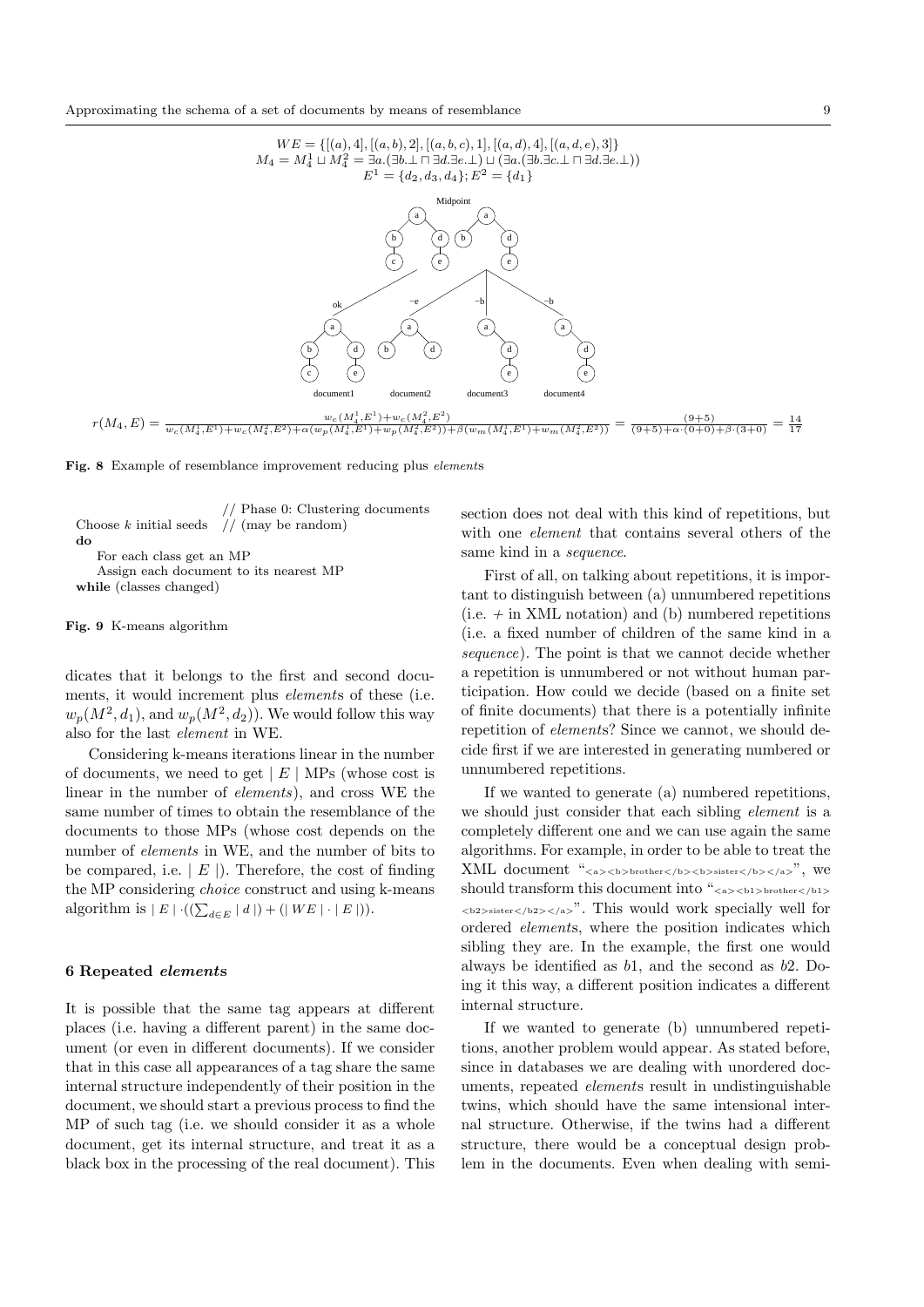

Fig. 8 Example of resemblance improvement reducing plus elements

// Phase 0: Clustering documents Choose  $k$  initial seeds  $//$  (may be random) do

For each class get an MP Assign each document to its nearest MP while (classes changed)

Fig. 9 K-means algorithm

dicates that it belongs to the first and second documents, it would increment plus elements of these (i.e.  $w_p(M^2, d_1)$ , and  $w_p(M^2, d_2)$ . We would follow this way also for the last element in WE.

Considering k-means iterations linear in the number of documents, we need to get  $|E|$  MPs (whose cost is linear in the number of elements), and cross WE the same number of times to obtain the resemblance of the documents to those MPs (whose cost depends on the number of elements in WE, and the number of bits to be compared, i.e.  $|E|$ . Therefore, the cost of finding the MP considering choice construct and using k-means algorithm is  $|E| \cdot ((\sum_{d \in E} |d|) + (|WE| \cdot |E|)).$ 

## 6 Repeated elements

It is possible that the same tag appears at different places (i.e. having a different parent) in the same document (or even in different documents). If we consider that in this case all appearances of a tag share the same internal structure independently of their position in the document, we should start a previous process to find the MP of such tag (i.e. we should consider it as a whole document, get its internal structure, and treat it as a black box in the processing of the real document). This section does not deal with this kind of repetitions, but with one element that contains several others of the same kind in a sequence.

First of all, on talking about repetitions, it is important to distinguish between (a) unnumbered repetitions  $(i.e. + in XML notation)$  and (b) numbered repetitions (i.e. a fixed number of children of the same kind in a sequence). The point is that we cannot decide whether a repetition is unnumbered or not without human participation. How could we decide (based on a finite set of finite documents) that there is a potentially infinite repetition of elements? Since we cannot, we should decide first if we are interested in generating numbered or unnumbered repetitions.

If we wanted to generate (a) numbered repetitions, we should just consider that each sibling element is a completely different one and we can use again the same algorithms. For example, in order to be able to treat the XML document  $C_{a>**blocker}(b>**st**)**$  we should transform this document into "<a><br/><br/>>brother</b1> <sup>&</sup>lt;b2>sister</b2></a>". This would work specially well for ordered elements, where the position indicates which sibling they are. In the example, the first one would always be identified as b1, and the second as b2. Doing it this way, a different position indicates a different internal structure.

If we wanted to generate (b) unnumbered repetitions, another problem would appear. As stated before, since in databases we are dealing with unordered documents, repeated elements result in undistinguishable twins, which should have the same intensional internal structure. Otherwise, if the twins had a different structure, there would be a conceptual design problem in the documents. Even when dealing with semi-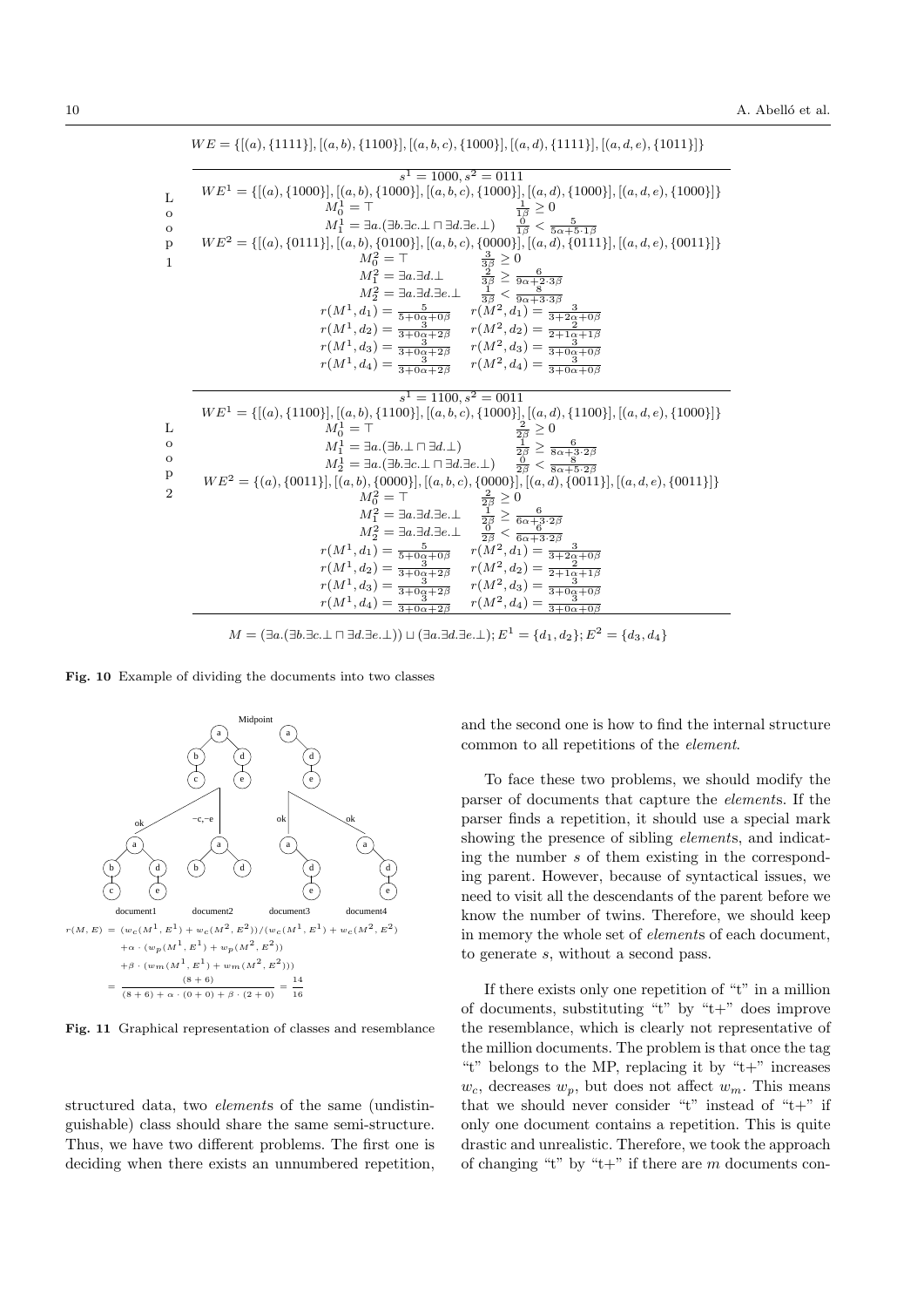| $s^1 = 1000, s^2 = 0111$                                                                                                                                                                                                                                                                                                                                                                                                                      |
|-----------------------------------------------------------------------------------------------------------------------------------------------------------------------------------------------------------------------------------------------------------------------------------------------------------------------------------------------------------------------------------------------------------------------------------------------|
| $WE1 = \{[(a), {1000}],[(a, b), {1000}],[(a, b, c), {1000}],[(a, d), {1000}],[(a, d, e), {1000}]\}$                                                                                                                                                                                                                                                                                                                                           |
|                                                                                                                                                                                                                                                                                                                                                                                                                                               |
| $\begin{array}{lll} \vspace{2mm} M^1_0 = \top & \frac{1}{1\beta} \geq 0 \\ \vspace{2mm} M^1_1 = \exists a . (\exists b . \exists c . \bot \sqcap \exists d . \exists e . \bot) & \frac{0}{1\beta} < \frac{5}{5\alpha + 5 \cdot 1\beta} \end{array}$                                                                                                                                                                                           |
| $WE^2 = \{[(a), \{0111\}], [(a, b), \{0100\}], [(a, b, c), \{0000\}], [(a, d), \{0111\}], [(a, d, e), \{0011\}]\}$                                                                                                                                                                                                                                                                                                                            |
|                                                                                                                                                                                                                                                                                                                                                                                                                                               |
|                                                                                                                                                                                                                                                                                                                                                                                                                                               |
|                                                                                                                                                                                                                                                                                                                                                                                                                                               |
|                                                                                                                                                                                                                                                                                                                                                                                                                                               |
|                                                                                                                                                                                                                                                                                                                                                                                                                                               |
| <i>I</i> <sub>j</sub> , [( <i>a</i> , <i>b</i> ), {0100 <sub>J</sub> <sub>j</sub> , [( <i>a</i> , <i>b</i> , <i>c</i> ), {000 <i>J</i> <sub>j</sub> , [( <i>a</i> , <i>a</i> ), [(1111 <sub>j</sub> )<br>$M_0^2 = T$ $\frac{3}{3} \ge 0$<br>$M_1^2 = \exists a.\exists d.\bot$ $\frac{2}{3} \ge \frac{6}{9\alpha+2.3\beta}$<br>$M_2^2 = \exists a.\exists d.\exists e.\bot$ $\frac{1}{3} \le \frac{6}{9\alpha+3.3\beta}$<br>$r(M^1, d_1) = \$ |
|                                                                                                                                                                                                                                                                                                                                                                                                                                               |
|                                                                                                                                                                                                                                                                                                                                                                                                                                               |
| $s^1 = 1100, s^2 = 0011$                                                                                                                                                                                                                                                                                                                                                                                                                      |
| $WE^1 = \{ [(a), \{1100\}], [(a, b), \{1100\}], [(a, b, c), \{1000\}], [(a, d), \{1100\}], [(a, d, e), \{1000\}]\}$                                                                                                                                                                                                                                                                                                                           |
|                                                                                                                                                                                                                                                                                                                                                                                                                                               |
| $M_0^1 = T$<br>$M_1^1 = \exists a.(\exists b.\bot \sqcap \exists d.\bot)$<br>$M_2^1 = \exists a.(\exists b.\exists c.\bot \sqcap \exists d.\exists e.\bot)$<br>$M_2^1 = \exists a.(\exists b.\exists c.\bot \sqcap \exists d.\exists e.\bot)$<br>$\frac{1}{2\beta} < \frac{6}{8\alpha + 5.2\beta}$                                                                                                                                            |
|                                                                                                                                                                                                                                                                                                                                                                                                                                               |
| $WE^2 = \{(a), \{0011\}\}, [(a, b), \{0000\}], [(a, b, c), \{0000\}], [(a, d), \{0011\}], [(a, d, e), \{0011\}]\}$                                                                                                                                                                                                                                                                                                                            |
|                                                                                                                                                                                                                                                                                                                                                                                                                                               |
|                                                                                                                                                                                                                                                                                                                                                                                                                                               |
|                                                                                                                                                                                                                                                                                                                                                                                                                                               |
|                                                                                                                                                                                                                                                                                                                                                                                                                                               |
| $M_0^2 = T$ $M_1^2 = \exists a.\exists d.\exists e.\bot$ $M_2^2 = \exists a.\exists d.\exists e.\bot$ $M_2^2 = \exists a.\exists d.\exists e.\bot$ $M_2^2 = \exists a.\exists d.\exists e.\bot$ $M_2^2 = \exists a.\exists d.\exists e.\bot$ $M_2^2 = \exists a.\exists d.\exists e.\bot$ $M_2^2 = \frac{6}{6\alpha+3.2\beta}$ $r(M^1, d_1) = \frac{5}{5+0.3+0.6}$ $r(M^2, d_1) = \frac{3+2.3+0.6}{3+2.3+0.6}$ $r(M$                          |
| $r(M^1, d_3) = \frac{3 + 3 + 2}{3 + 0 \alpha + 2\beta}$<br>$r(M^1, d_4) = \frac{3 + 3 + 2}{3 + 0 \alpha + 2\beta}$<br>$r(M^2, d_4) = \frac{1 + 3 + 2}{3 + 0 \alpha + 0\beta}$                                                                                                                                                                                                                                                                 |
|                                                                                                                                                                                                                                                                                                                                                                                                                                               |

Fig. 10 Example of dividing the documents into two classes



Fig. 11 Graphical representation of classes and resemblance

structured data, two elements of the same (undistinguishable) class should share the same semi-structure. Thus, we have two different problems. The first one is deciding when there exists an unnumbered repetition, and the second one is how to find the internal structure common to all repetitions of the element.

To face these two problems, we should modify the parser of documents that capture the elements. If the parser finds a repetition, it should use a special mark showing the presence of sibling elements, and indicating the number s of them existing in the corresponding parent. However, because of syntactical issues, we need to visit all the descendants of the parent before we know the number of twins. Therefore, we should keep in memory the whole set of elements of each document, to generate s, without a second pass.

If there exists only one repetition of "t" in a million of documents, substituting "t" by "t+" does improve the resemblance, which is clearly not representative of the million documents. The problem is that once the tag "t" belongs to the MP, replacing it by "t+" increases  $w_c$ , decreases  $w_p$ , but does not affect  $w_m$ . This means that we should never consider "t" instead of " $t$ +" if only one document contains a repetition. This is quite drastic and unrealistic. Therefore, we took the approach of changing "t" by "t+" if there are  $m$  documents con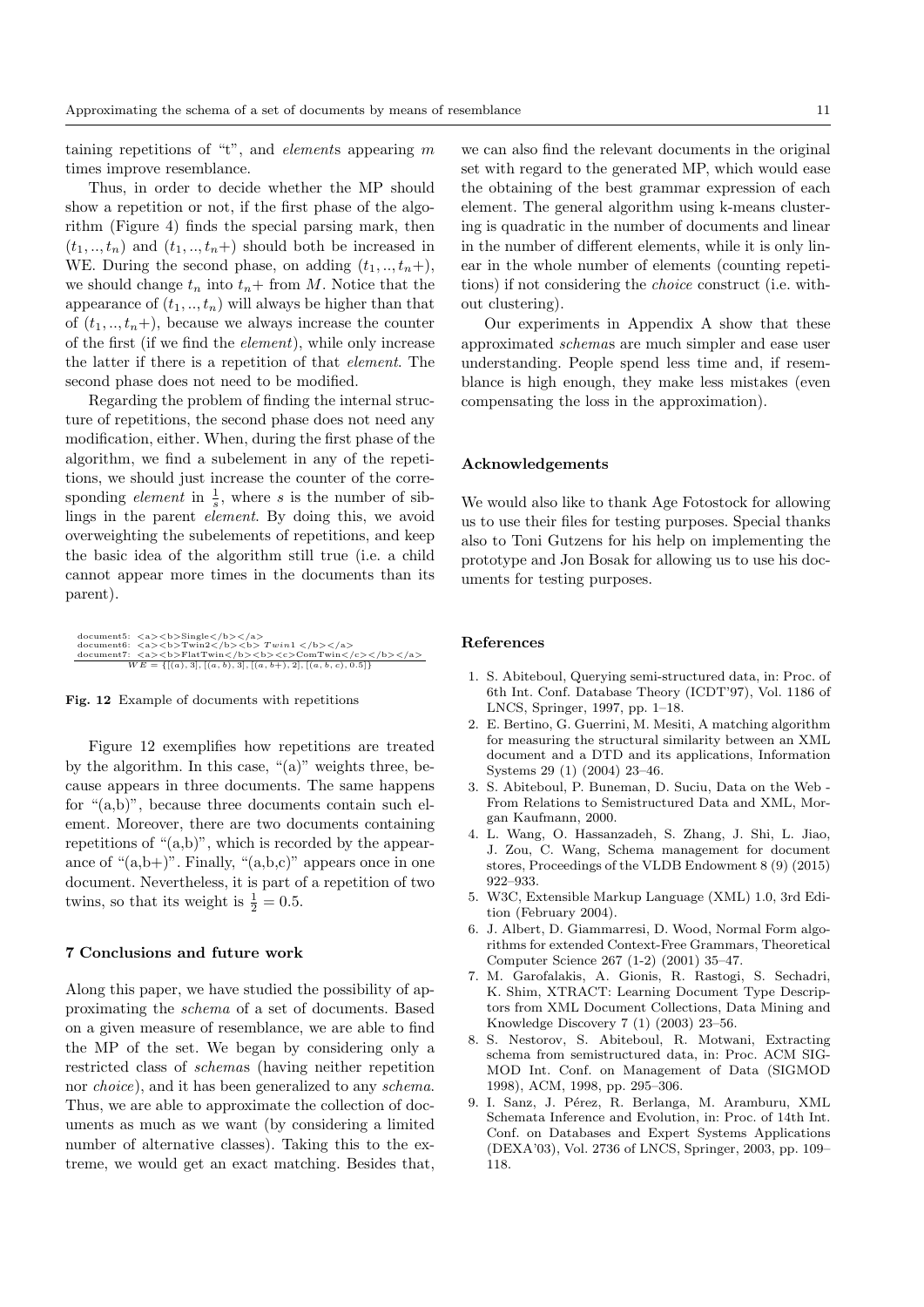taining repetitions of "t", and elements appearing m times improve resemblance.

Thus, in order to decide whether the MP should show a repetition or not, if the first phase of the algorithm (Figure 4) finds the special parsing mark, then  $(t_1, ..., t_n)$  and  $(t_1, ..., t_n+)$  should both be increased in WE. During the second phase, on adding  $(t_1, ..., t_n+)$ , we should change  $t_n$  into  $t_n+$  from M. Notice that the appearance of  $(t_1, ..., t_n)$  will always be higher than that of  $(t_1, ..., t_n+)$ , because we always increase the counter of the first (if we find the element), while only increase the latter if there is a repetition of that element. The second phase does not need to be modified.

Regarding the problem of finding the internal structure of repetitions, the second phase does not need any modification, either. When, during the first phase of the algorithm, we find a subelement in any of the repetitions, we should just increase the counter of the corresponding *element* in  $\frac{1}{s}$ , where *s* is the number of siblings in the parent element. By doing this, we avoid overweighting the subelements of repetitions, and keep the basic idea of the algorithm still true (i.e. a child cannot appear more times in the documents than its parent).

| $document5:  >  Single /b>$                                                                                                              |
|------------------------------------------------------------------------------------------------------------------------------------------|
| document6: $\langle a \rangle \langle b \rangle$ Twin2 $\langle b \rangle \langle b \rangle$ Twin1 $\langle b \rangle \langle a \rangle$ |
| $document7: b>FlatTwin/b>C>C$                                                                                                            |
| $WE = \{[(a), 3], [(a, b), 3], [(a, b+, 2], [(a, b, c), 0.5]\}$                                                                          |

Fig. 12 Example of documents with repetitions

Figure 12 exemplifies how repetitions are treated by the algorithm. In this case, "(a)" weights three, because appears in three documents. The same happens for "(a,b)", because three documents contain such element. Moreover, there are two documents containing repetitions of " $(a,b)$ ", which is recorded by the appearance of " $(a,b+)$ ". Finally, " $(a,b,c)$ " appears once in one document. Nevertheless, it is part of a repetition of two twins, so that its weight is  $\frac{1}{2} = 0.5$ .

#### 7 Conclusions and future work

Along this paper, we have studied the possibility of approximating the schema of a set of documents. Based on a given measure of resemblance, we are able to find the MP of the set. We began by considering only a restricted class of schemas (having neither repetition nor *choice*), and it has been generalized to any *schema*. Thus, we are able to approximate the collection of documents as much as we want (by considering a limited number of alternative classes). Taking this to the extreme, we would get an exact matching. Besides that,

we can also find the relevant documents in the original set with regard to the generated MP, which would ease the obtaining of the best grammar expression of each element. The general algorithm using k-means clustering is quadratic in the number of documents and linear in the number of different elements, while it is only linear in the whole number of elements (counting repetitions) if not considering the choice construct (i.e. without clustering).

Our experiments in Appendix A show that these approximated schemas are much simpler and ease user understanding. People spend less time and, if resemblance is high enough, they make less mistakes (even compensating the loss in the approximation).

## Acknowledgements

We would also like to thank Age Fotostock for allowing us to use their files for testing purposes. Special thanks also to Toni Gutzens for his help on implementing the prototype and Jon Bosak for allowing us to use his documents for testing purposes.

## References

- 1. S. Abiteboul, Querying semi-structured data, in: Proc. of 6th Int. Conf. Database Theory (ICDT'97), Vol. 1186 of LNCS, Springer, 1997, pp. 1–18.
- 2. E. Bertino, G. Guerrini, M. Mesiti, A matching algorithm for measuring the structural similarity between an XML document and a DTD and its applications, Information Systems 29 (1) (2004) 23–46.
- 3. S. Abiteboul, P. Buneman, D. Suciu, Data on the Web From Relations to Semistructured Data and XML, Morgan Kaufmann, 2000.
- 4. L. Wang, O. Hassanzadeh, S. Zhang, J. Shi, L. Jiao, J. Zou, C. Wang, Schema management for document stores, Proceedings of the VLDB Endowment 8 (9) (2015) 922–933.
- 5. W3C, Extensible Markup Language (XML) 1.0, 3rd Edition (February 2004).
- 6. J. Albert, D. Giammarresi, D. Wood, Normal Form algorithms for extended Context-Free Grammars, Theoretical Computer Science 267 (1-2) (2001) 35–47.
- 7. M. Garofalakis, A. Gionis, R. Rastogi, S. Sechadri, K. Shim, XTRACT: Learning Document Type Descriptors from XML Document Collections, Data Mining and Knowledge Discovery 7 (1) (2003) 23–56.
- 8. S. Nestorov, S. Abiteboul, R. Motwani, Extracting schema from semistructured data, in: Proc. ACM SIG-MOD Int. Conf. on Management of Data (SIGMOD 1998), ACM, 1998, pp. 295–306.
- 9. I. Sanz, J. Pérez, R. Berlanga, M. Aramburu, XML Schemata Inference and Evolution, in: Proc. of 14th Int. Conf. on Databases and Expert Systems Applications (DEXA'03), Vol. 2736 of LNCS, Springer, 2003, pp. 109– 118.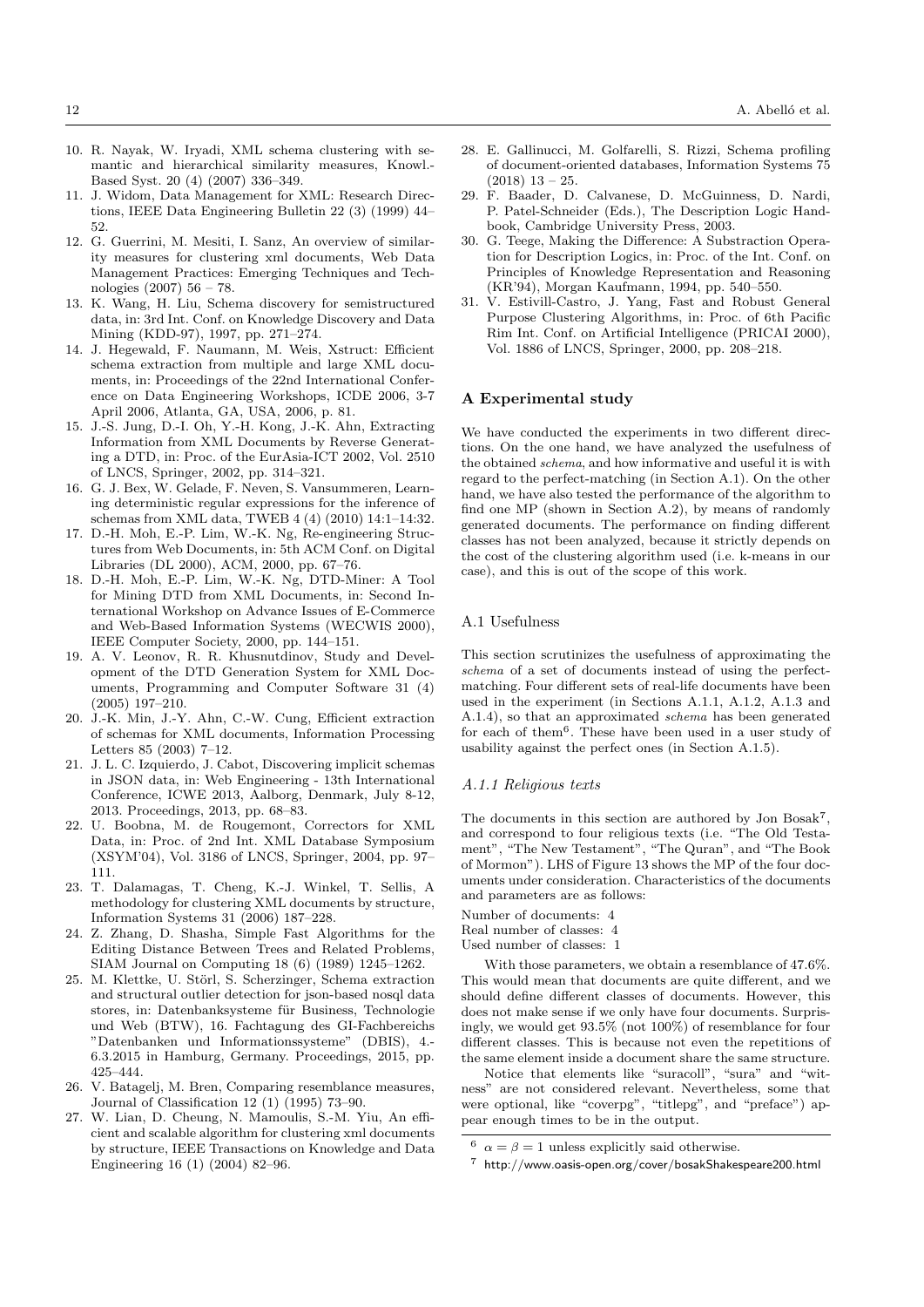- 10. R. Nayak, W. Iryadi, XML schema clustering with semantic and hierarchical similarity measures, Knowl.- Based Syst. 20 (4) (2007) 336–349.
- 11. J. Widom, Data Management for XML: Research Directions, IEEE Data Engineering Bulletin 22 (3) (1999) 44– 52.
- 12. G. Guerrini, M. Mesiti, I. Sanz, An overview of similarity measures for clustering xml documents, Web Data Management Practices: Emerging Techniques and Technologies (2007) 56 – 78.
- 13. K. Wang, H. Liu, Schema discovery for semistructured data, in: 3rd Int. Conf. on Knowledge Discovery and Data Mining (KDD-97), 1997, pp. 271–274.
- 14. J. Hegewald, F. Naumann, M. Weis, Xstruct: Efficient schema extraction from multiple and large XML documents, in: Proceedings of the 22nd International Conference on Data Engineering Workshops, ICDE 2006, 3-7 April 2006, Atlanta, GA, USA, 2006, p. 81.
- 15. J.-S. Jung, D.-I. Oh, Y.-H. Kong, J.-K. Ahn, Extracting Information from XML Documents by Reverse Generating a DTD, in: Proc. of the EurAsia-ICT 2002, Vol. 2510 of LNCS, Springer, 2002, pp. 314–321.
- 16. G. J. Bex, W. Gelade, F. Neven, S. Vansummeren, Learning deterministic regular expressions for the inference of schemas from XML data, TWEB 4 (4) (2010) 14:1–14:32.
- 17. D.-H. Moh, E.-P. Lim, W.-K. Ng, Re-engineering Structures from Web Documents, in: 5th ACM Conf. on Digital Libraries (DL 2000), ACM, 2000, pp. 67–76.
- 18. D.-H. Moh, E.-P. Lim, W.-K. Ng, DTD-Miner: A Tool for Mining DTD from XML Documents, in: Second International Workshop on Advance Issues of E-Commerce and Web-Based Information Systems (WECWIS 2000), IEEE Computer Society, 2000, pp. 144–151.
- 19. A. V. Leonov, R. R. Khusnutdinov, Study and Development of the DTD Generation System for XML Documents, Programming and Computer Software 31 (4) (2005) 197–210.
- 20. J.-K. Min, J.-Y. Ahn, C.-W. Cung, Efficient extraction of schemas for XML documents, Information Processing Letters 85 (2003) 7–12.
- 21. J. L. C. Izquierdo, J. Cabot, Discovering implicit schemas in JSON data, in: Web Engineering - 13th International Conference, ICWE 2013, Aalborg, Denmark, July 8-12, 2013. Proceedings, 2013, pp. 68–83.
- 22. U. Boobna, M. de Rougemont, Correctors for XML Data, in: Proc. of 2nd Int. XML Database Symposium (XSYM'04), Vol. 3186 of LNCS, Springer, 2004, pp. 97– 111.
- 23. T. Dalamagas, T. Cheng, K.-J. Winkel, T. Sellis, A methodology for clustering XML documents by structure, Information Systems 31 (2006) 187–228.
- 24. Z. Zhang, D. Shasha, Simple Fast Algorithms for the Editing Distance Between Trees and Related Problems, SIAM Journal on Computing 18 (6) (1989) 1245–1262.
- 25. M. Klettke, U. Störl, S. Scherzinger, Schema extraction and structural outlier detection for json-based nosql data stores, in: Datenbanksysteme für Business, Technologie und Web (BTW), 16. Fachtagung des GI-Fachbereichs "Datenbanken und Informationssysteme" (DBIS), 4.- 6.3.2015 in Hamburg, Germany. Proceedings, 2015, pp. 425–444.
- 26. V. Batagelj, M. Bren, Comparing resemblance measures, Journal of Classification 12 (1) (1995) 73–90.
- 27. W. Lian, D. Cheung, N. Mamoulis, S.-M. Yiu, An efficient and scalable algorithm for clustering xml documents by structure, IEEE Transactions on Knowledge and Data Engineering 16 (1) (2004) 82–96.
- 28. E. Gallinucci, M. Golfarelli, S. Rizzi, Schema profiling of document-oriented databases, Information Systems 75  $(2018)$  13 – 25.
- 29. F. Baader, D. Calvanese, D. McGuinness, D. Nardi, P. Patel-Schneider (Eds.), The Description Logic Handbook, Cambridge University Press, 2003.
- 30. G. Teege, Making the Difference: A Substraction Operation for Description Logics, in: Proc. of the Int. Conf. on Principles of Knowledge Representation and Reasoning (KR'94), Morgan Kaufmann, 1994, pp. 540–550.
- 31. V. Estivill-Castro, J. Yang, Fast and Robust General Purpose Clustering Algorithms, in: Proc. of 6th Pacific Rim Int. Conf. on Artificial Intelligence (PRICAI 2000), Vol. 1886 of LNCS, Springer, 2000, pp. 208–218.

## A Experimental study

We have conducted the experiments in two different directions. On the one hand, we have analyzed the usefulness of the obtained schema, and how informative and useful it is with regard to the perfect-matching (in Section A.1). On the other hand, we have also tested the performance of the algorithm to find one MP (shown in Section A.2), by means of randomly generated documents. The performance on finding different classes has not been analyzed, because it strictly depends on the cost of the clustering algorithm used (i.e. k-means in our case), and this is out of the scope of this work.

#### A.1 Usefulness

This section scrutinizes the usefulness of approximating the schema of a set of documents instead of using the perfectmatching. Four different sets of real-life documents have been used in the experiment (in Sections A.1.1, A.1.2, A.1.3 and A.1.4), so that an approximated schema has been generated for each of them<sup>6</sup>. These have been used in a user study of usability against the perfect ones (in Section A.1.5).

#### A.1.1 Religious texts

The documents in this section are authored by Jon Bosak<sup>7</sup>, and correspond to four religious texts (i.e. "The Old Testament", "The New Testament", "The Quran", and "The Book of Mormon"). LHS of Figure 13 shows the MP of the four documents under consideration. Characteristics of the documents and parameters are as follows:

Number of documents: 4 Real number of classes: 4

Used number of classes: 1

With those parameters, we obtain a resemblance of 47.6%. This would mean that documents are quite different, and we should define different classes of documents. However, this does not make sense if we only have four documents. Surprisingly, we would get 93.5% (not 100%) of resemblance for four different classes. This is because not even the repetitions of the same element inside a document share the same structure.

Notice that elements like "suracoll", "sura" and "witness" are not considered relevant. Nevertheless, some that were optional, like "coverpg", "titlepg", and "preface") appear enough times to be in the output.

<sup>&</sup>lt;sup>6</sup>  $\alpha = \beta = 1$  unless explicitly said otherwise.

<sup>7</sup> http://www.oasis-open.org/cover/bosakShakespeare200.html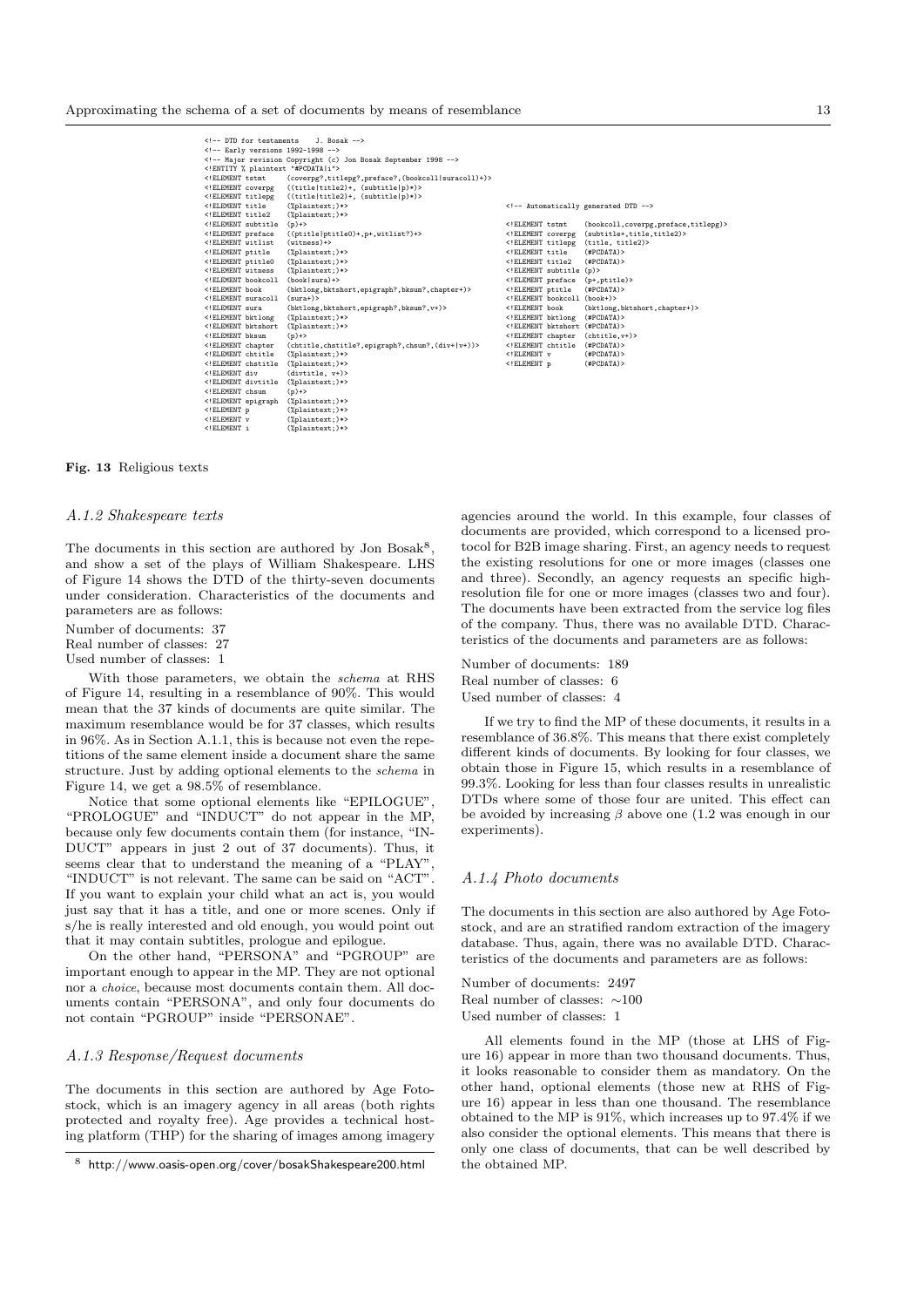| DTD for testaments</th><th><math>J.</math> Bosak <math>\rightarrow</math></th><th></th><th></th></tr><tr><th><math>\leftarrow</math> -- Early versions 1992-1998 |                                                       |                                                                       |                                        |
|------------------------------------------------------------------------------------------------------------------------------------------------------------------|-------------------------------------------------------|-----------------------------------------------------------------------|----------------------------------------|
|                                                                                                                                                                  | Major revision Copyright (c) Jon Bosak September 1998 |                                                                       |                                        |
| ENTITY % plaintext "#PCDATA i"                                                                                                                                   |                                                       |                                                                       |                                        |
| ELEMENT tstmt</th <th>(coverpg?,titlepg?,preface?,(bookcoll suracoll)+)&gt;</th> <th></th> <th></th>                                                             | (coverpg?,titlepg?,preface?,(bookcoll suracoll)+)>    |                                                                       |                                        |
| ELEMENT coverpg</th <th><math>((title title2) +, (subtitle p)*)</math></th> <th></th> <th></th>                                                                  | $((title title2) +, (subtitle p)*)$                   |                                                                       |                                        |
| ELEMENT titlepg</th <th><math>((title title2) +, (subtitle p)*)</math></th> <th></th> <th></th>                                                                  | $((title title2) +, (subtitle p)*)$                   |                                                                       |                                        |
| ELEMENT title</th <th><math>(\%</math>plaintext;)*&gt;</th> <th><!-- Automatically generated DTD --></th> <th></th>                                              | $(\%$ plaintext;)*>                                   | Automatically generated DTD                                           |                                        |
| ELEMENT title?</th <th><math>(\gamma_{\text{plaintext}};)*&gt;</math></th> <th></th> <th></th>                                                                   | $(\gamma_{\text{plaintext}};)*>$                      |                                                                       |                                        |
| ELEMENT subtitle</th <th><math>(p)</math>+&gt;</th> <th><!-- ELEMENT t.stmt</th--><th>(bookcoll, coverpg, preface, titlepg)&gt;</th></th>                        | $(p)$ +>                                              | ELEMENT t.stmt</th <th>(bookcoll, coverpg, preface, titlepg)&gt;</th> | (bookcoll, coverpg, preface, titlepg)> |
| ELEMENT preface</th <th><math>((ptitle ptitle0)+, p+, with list?)</math></th> <th><!--ELEMENT coverpg</th--><th>(subtitle+,title,title2)&gt;</th></th>           | $((ptitle ptitle0)+, p+, with list?)$                 | ELEMENT coverpg</th <th>(subtitle+,title,title2)&gt;</th>             | (subtitle+,title,title2)>              |
| ELEMENT witlist</th <th>(witness)+&gt;</th> <th><!--ELEMENT titlepg (title, title2)--></th> <th></th>                                                            | (witness)+>                                           | ELEMENT titlepg (title, title2)                                       |                                        |
| ELEMENT ptitle</th <th><math>(\%</math>plaintext; <math>)</math>*&gt;</th> <th><!--ELEMENT title</th--><th>(HPCDATA)</th></th>                                   | $(\%$ plaintext; $)$ *>                               | ELEMENT title</th <th>(HPCDATA)</th>                                  | (HPCDATA)                              |
| ELEMENT ptitle0</th <th><math>(\%</math>plaintext;)*&gt;</th> <th><!-- ELEMENT title?</th--><th>(HPCDATA)</th></th>                                              | $(\%$ plaintext;)*>                                   | ELEMENT title?</th <th>(HPCDATA)</th>                                 | (HPCDATA)                              |
| ELEMENT witness</td <td><math>(\gamma_{\text{plaintext}};)*&gt;</math></td> <td><!--ELEMENT subtitle (p)--></td> <td></td>                                       | $(\gamma_{\text{plaintext}};)*>$                      | ELEMENT subtitle (p)                                                  |                                        |
| ELEMENT bookcoll</th <th><math>(book sura)</math>+&gt;</th> <th><!--ELEMENT preface (p+, ptitle)--></th> <th></th>                                               | $(book sura)$ +>                                      | ELEMENT preface (p+, ptitle)                                          |                                        |
| ELEMENT book</th <th>(bktlong, bktshort, epigraph?, bksum?, chapter+)&gt;</th> <th><!--ELEMENT ptitle</th--><th>(HPCDATA)</th></th>                              | (bktlong, bktshort, epigraph?, bksum?, chapter+)>     | ELEMENT ptitle</th <th>(HPCDATA)</th>                                 | (HPCDATA)                              |
| ELEMENT suracoll (sura+)                                                                                                                                         |                                                       | ELEMENT bookcoll (book+)                                              |                                        |
| ELEMENT sura</th <th>(bktlong, bktshort, epigraph?, bksum?, v+)&gt;</th> <th><!--ELEMENT book</th--><th>(bktlong, bktshort, chapter+)&gt;</th></th>              | (bktlong, bktshort, epigraph?, bksum?, v+)>           | ELEMENT book</th <th>(bktlong, bktshort, chapter+)&gt;</th>           | (bktlong, bktshort, chapter+)>         |
| ELEMENT bktlong</th <th><math>(\%</math>plaintext; <math>)</math>*&gt;</th> <th><!--ELEMENT bktlong</th--><th>(HPCDATA)</th></th>                                | $(\%$ plaintext; $)$ *>                               | ELEMENT bktlong</th <th>(HPCDATA)</th>                                | (HPCDATA)                              |
| ELEMENT bktshort</td <td><math>(\%</math>plaintext; <math>)*&gt;</math></td> <td><!--ELEMENT bktshort (#PCDATA)--></td> <td></td>                                | $(\%$ plaintext; $)*>$                                | ELEMENT bktshort (#PCDATA)                                            |                                        |
| ELEMENT bksum</th <th><math>(p)</math>+&gt;</th> <th><!--ELEMENT chapter (chtitle, v+)--></th> <th></th>                                                         | $(p)$ +>                                              | ELEMENT chapter (chtitle, v+)                                         |                                        |
| ELEMENT chapter</th <th>(chtitle, chstitle?, epigraph?, chsum?, (div+ v+))&gt;</th> <th><!--ELEMENT chtitle</th--><th>(HPCDATA)</th></th>                        | (chtitle, chstitle?, epigraph?, chsum?, (div+ v+))>   | ELEMENT chtitle</th <th>(HPCDATA)</th>                                | (HPCDATA)                              |
| ELEMENT chtitle</td <td><math>(\gamma_{\text{plaintext}};)*&gt;</math></td> <td><!-- ELEMENT v</td--><td>(HPCDATA)</td></td>                                     | $(\gamma_{\text{plaintext}};)*>$                      | ELEMENT v</td <td>(HPCDATA)</td>                                      | (HPCDATA)                              |
| ELEMENT chstitle (%plaintext;)*                                                                                                                                  |                                                       | ELEMENT p</td <td><math>(</math>#PCDATA<math>)</math>&gt;</td>        | $($ #PCDATA $)$ >                      |
| ELEMENT div</td <td><math>divtitle, v+)</math></td> <td></td> <td></td>                                                                                          | $divtitle, v+)$                                       |                                                                       |                                        |
| ELEMENT divtitle</td <td><math>(\%</math>plaintext;)*&gt;</td> <td></td> <td></td>                                                                               | $(\%$ plaintext;)*>                                   |                                                                       |                                        |
| ELEMENT chsum</td <td><math>(p)</math>+&gt;</td> <td></td> <td></td>                                                                                             | $(p)$ +>                                              |                                                                       |                                        |
| ELEMENT epigraph</th <th><math>(\%</math>plaintext; <math>)</math>*&gt;</th> <th></th> <th></th>                                                                 | $(\%$ plaintext; $)$ *>                               |                                                                       |                                        |
| ELEMENT p</th <th><math>(\%</math>plaintext; <math>)\rightarrow</math></th> <th></th> <th></th>                                                                  | $(\%$ plaintext; $)\rightarrow$                       |                                                                       |                                        |
| ELEMENT v</th <th><math>(\%</math>plaintext; <math>)\rightarrow</math></th> <th></th> <th></th>                                                                  | $(\%$ plaintext; $)\rightarrow$                       |                                                                       |                                        |
| ELEMENT i</td <td><math>(\%</math>plaintext:<math>)</math>*&gt;</td> <td></td> <td></td>                                                                         | $(\%$ plaintext: $)$ *>                               |                                                                       |                                        |

#### Fig. 13 Religious texts

## A.1.2 Shakespeare texts

The documents in this section are authored by Jon Bosak<sup>8</sup> and show a set of the plays of William Shakespeare. LHS of Figure 14 shows the DTD of the thirty-seven documents under consideration. Characteristics of the documents and parameters are as follows:

Number of documents: 37 Real number of classes: 27

Used number of classes: 1

With those parameters, we obtain the schema at RHS of Figure 14, resulting in a resemblance of 90%. This would mean that the 37 kinds of documents are quite similar. The maximum resemblance would be for 37 classes, which results in 96%. As in Section A.1.1, this is because not even the repetitions of the same element inside a document share the same structure. Just by adding optional elements to the schema in Figure 14, we get a 98.5% of resemblance.

Notice that some optional elements like "EPILOGUE", "PROLOGUE" and "INDUCT" do not appear in the MP, because only few documents contain them (for instance, "IN-DUCT" appears in just 2 out of 37 documents). Thus, it seems clear that to understand the meaning of a "PLAY" "INDUCT" is not relevant. The same can be said on "ACT". If you want to explain your child what an act is, you would just say that it has a title, and one or more scenes. Only if s/he is really interested and old enough, you would point out that it may contain subtitles, prologue and epilogue.

On the other hand, "PERSONA" and "PGROUP" are important enough to appear in the MP. They are not optional nor a choice, because most documents contain them. All documents contain "PERSONA", and only four documents do not contain "PGROUP" inside "PERSONAE".

#### A.1.3 Response/Request documents

The documents in this section are authored by Age Fotostock, which is an imagery agency in all areas (both rights protected and royalty free). Age provides a technical hosting platform (THP) for the sharing of images among imagery

agencies around the world. In this example, four classes of documents are provided, which correspond to a licensed protocol for B2B image sharing. First, an agency needs to request the existing resolutions for one or more images (classes one and three). Secondly, an agency requests an specific highresolution file for one or more images (classes two and four). The documents have been extracted from the service log files of the company. Thus, there was no available DTD. Characteristics of the documents and parameters are as follows:

Number of documents: 189 Real number of classes: 6 Used number of classes: 4

If we try to find the MP of these documents, it results in a resemblance of 36.8%. This means that there exist completely different kinds of documents. By looking for four classes, we obtain those in Figure 15, which results in a resemblance of 99.3%. Looking for less than four classes results in unrealistic DTDs where some of those four are united. This effect can be avoided by increasing  $\beta$  above one (1.2 was enough in our experiments).

#### A.1.4 Photo documents

The documents in this section are also authored by Age Fotostock, and are an stratified random extraction of the imagery database. Thus, again, there was no available DTD. Characteristics of the documents and parameters are as follows:

Number of documents: 2497 Real number of classes: ∼100 Used number of classes: 1

All elements found in the MP (those at LHS of Figure 16) appear in more than two thousand documents. Thus, it looks reasonable to consider them as mandatory. On the other hand, optional elements (those new at RHS of Figure 16) appear in less than one thousand. The resemblance obtained to the MP is 91%, which increases up to 97.4% if we also consider the optional elements. This means that there is only one class of documents, that can be well described by the obtained MP.

<sup>8</sup> http://www.oasis-open.org/cover/bosakShakespeare200.html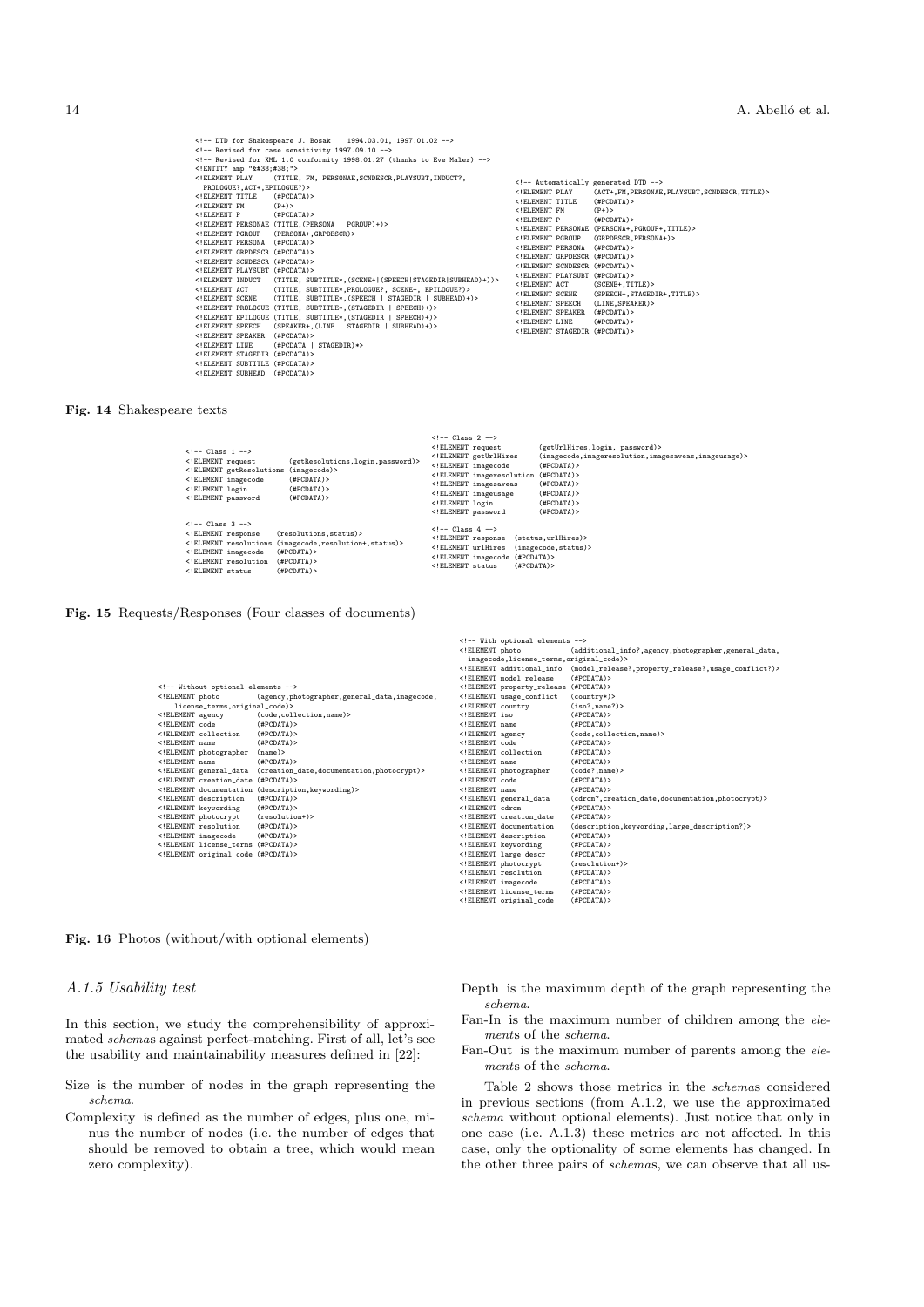|                                                                                                                  | DTD for Shakespeare J. Bosak 1994.03.01, 1997.01.02              |            |
|------------------------------------------------------------------------------------------------------------------|------------------------------------------------------------------|------------|
|                                                                                                                  | Revised for case sensitivity 1997.09.10                          |            |
|                                                                                                                  | Revised for XML 1.0 conformity 1998.01.27 (thanks to Eve Maler)  |            |
| ENTITY amp "&#38;#38;"                                                                                           |                                                                  |            |
| ELEMENT PLAY</td <td>(TITLE, FM, PERSONAE, SCNDESCR, PLAYSUBT, INDUCT?,</td> <td><math>\leq 1</math> -</td>      | (TITLE, FM, PERSONAE, SCNDESCR, PLAYSUBT, INDUCT?,               | $\leq 1$ - |
| PROLOGUE?, ACT+, EPILOGUE?) >                                                                                    |                                                                  | < 11       |
| ELEMENT TITLE (#PCDATA)                                                                                          |                                                                  | < 11       |
| ELEMENT FM</td <td><math>(P+</math>)</td> <td>&lt; 11</td>                                                       | $(P+$ )                                                          | < 11       |
| ELEMENT P (#PCDATA)                                                                                              |                                                                  | < 11       |
|                                                                                                                  | ELEMENT PERSONAE (TITLE, (PERSONA   PGROUP)+)                    | < 11       |
|                                                                                                                  | ELEMENT PGROUP (PERSONA+.GRPDESCR)                               | < 11       |
| ELEMENT PERSONA (#PCDATA)                                                                                        |                                                                  | < 11       |
| ELEMENT GRPDESCR (#PCDATA)                                                                                       |                                                                  | < 11       |
| ELEMENT SCNDESCR (#PCDATA)                                                                                       |                                                                  | < 11       |
| ELEMENT PLAYSURT (#PCDATA)                                                                                       |                                                                  | < 11       |
| ELEMENT INDUCT</td <td>(TITLE, SUBTITLE*, (SCENE+  (SPEECH  STAGEDIR   SUBHEAD) + ) ) &gt;</td> <td>&lt; 11</td> | (TITLE, SUBTITLE*, (SCENE+  (SPEECH  STAGEDIR   SUBHEAD) + ) ) > | < 11       |
| ELEMENT ACT</td <td>(TITLE, SUBTITLE*, PROLOGUE?, SCENE+, EPILOGUE?)&gt;</td> <td>&lt; 11</td>                   | (TITLE, SUBTITLE*, PROLOGUE?, SCENE+, EPILOGUE?)>                | < 11       |
| ELEMENT SCENE</td <td>(TITLE, SUBTITLE*, (SPEECH   STAGEDIR   SUBHEAD)+)&gt;</td> <td>&lt; 11</td>               | (TITLE, SUBTITLE*, (SPEECH   STAGEDIR   SUBHEAD)+)>              | < 11       |
|                                                                                                                  | ELEMENT PROLOGUE (TITLE, SUBTITLE*, (STAGEDIR   SPEECH)+)        | < 11       |
|                                                                                                                  | ELEMENT EPILOGUE (TITLE, SUBTITLE*, (STAGEDIR   SPEECH)+)        | < 11       |
| ELEMENT SPEECH</td <td>(SPEAKER+, (LINE   STAGEDIR   SUBHEAD)+)&gt;</td> <td>&lt; 11</td>                        | (SPEAKER+, (LINE   STAGEDIR   SUBHEAD)+)>                        | < 11       |
| ELEMENT SPEAKER (#PCDATA)                                                                                        |                                                                  |            |
| ELEMENT LINE</td <td>(#PCDATA   STAGEDIR)*&gt;</td> <td></td>                                                    | (#PCDATA   STAGEDIR)*>                                           |            |
| ELEMENT STAGEDIR (#PCDATA)                                                                                       |                                                                  |            |
| ELEMENT SUBTITLE (#PCDATA)                                                                                       |                                                                  |            |
| ELEMENT SUBHEAD</td <td>(HPCDATA)</td> <td></td>                                                                 | (HPCDATA)                                                        |            |

|                                                                          | Automatically generated DTD                 |
|--------------------------------------------------------------------------|---------------------------------------------|
| ELEMENT PLAY</td <td>(ACT+.FM.PERSONAE.PLAYSUBT.SCNDESCR.TITLE)&gt;</td> | (ACT+.FM.PERSONAE.PLAYSUBT.SCNDESCR.TITLE)> |
| ELEMENT TITLE</td <td><math>(</math>#PCDATA<math>)</math>&gt;</td>       | $($ #PCDATA $)$ >                           |
| ELEMENT FM</td <td><math>(P+)</math></td>                                | $(P+)$                                      |
| ELEMENT_P</td <td>(HPCDATA)</td>                                         | (HPCDATA)                                   |
|                                                                          | ELEMENT PERSONAE (PERSONA+. PGROUP+.TITLE)  |
| ELEMENT PGROUP</td <td>(GRPDESCR.PERSONA+)&gt;</td>                      | (GRPDESCR.PERSONA+)>                        |
| ELEMENT PERSONA</td <td>(HPCDATA)</td>                                   | (HPCDATA)                                   |
|                                                                          | ELEMENT GRPDESCR (#PCDATA)                  |
|                                                                          | ELEMENT SCNDESCR (#PCDATA)                  |
|                                                                          | ELEMENT PLAYSUBT (#PCDATA)                  |
| ELEMENT ACT</td <td><math>(SCENE+ .TITLE)</math></td>                    | $(SCENE+ .TITLE)$                           |
| ELEMENT SCENE</td <td>(SPEECH+.STAGEDIR+.TITLE)&gt;</td>                 | (SPEECH+.STAGEDIR+.TITLE)>                  |
| ELEMENT SPEECH</td <td>(LINE.SPEAKER)&gt;</td>                           | (LINE.SPEAKER)>                             |
| ELEMENT SPEAKER</td <td>(HPCDATA)</td>                                   | (HPCDATA)                                   |
| ELEMENT LINE</td <td>(HPCDATA)</td>                                      | (HPCDATA)                                   |
|                                                                          | ELEMENT STAGEDIR (#PCDATA)                  |

Fig. 14 Shakespeare texts

| $\leftarrow -$ Class 1 $\rightarrow$<br>(getResolutions, login, password)><br>ELEMENT request<br ELEMENT getResolutions (imagecode)<br>(HPCDATA)<br>ELEMENT imagecode<br $($ #PCDATA $)$ ><br>ELEMENT login<br (HPCDATA)<br>ELEMENT password</th <th><math>-1 -</math> Class 2 <math>-</math>&gt;<br/><!--ELEMENT request<br--><!--ELEMENT getUrlHires<br--><!--ELEMENT imagecode<br--><!-- ELEMENT imageresolution (#PCDATA)--><br/><!--ELEMENT imagesaveas<br--><!--ELEMENT imageusage<br--><!--ELEMENT login<br--><!-- ELEMENT password</th--><th>(getUrlHires, login, password)&gt;<br/>(imagecode, imageresolution, imagesaveas, imageusage)&gt;<br/><math>(</math>#PCDATA<math>)</math>&gt;<br/>(HPCDATA)<br/><math>(</math>#PCDATA<math>)</math>&gt;<br/><math>(</math>#PCDATA<math>)</math>&gt;<br/><math>(</math>#PCDATA<math>)</math>&gt;</th></th> | $-1 -$ Class 2 $-$ ><br>ELEMENT request<br ELEMENT getUrlHires<br ELEMENT imagecode<br ELEMENT imageresolution (#PCDATA)<br>ELEMENT imagesaveas<br ELEMENT imageusage<br ELEMENT login<br ELEMENT password</th <th>(getUrlHires, login, password)&gt;<br/>(imagecode, imageresolution, imagesaveas, imageusage)&gt;<br/><math>(</math>#PCDATA<math>)</math>&gt;<br/>(HPCDATA)<br/><math>(</math>#PCDATA<math>)</math>&gt;<br/><math>(</math>#PCDATA<math>)</math>&gt;<br/><math>(</math>#PCDATA<math>)</math>&gt;</th> | (getUrlHires, login, password)><br>(imagecode, imageresolution, imagesaveas, imageusage)><br>$($ #PCDATA $)$ ><br>(HPCDATA)<br>$($ #PCDATA $)$ ><br>$($ #PCDATA $)$ ><br>$($ #PCDATA $)$ > |
|---------------------------------------------------------------------------------------------------------------------------------------------------------------------------------------------------------------------------------------------------------------------------------------------------------------------------------------------------------------------------------------------------------------------------------------------------------------------------------------------------------------------------------------------------------------------------------------------------------------------------------------------------------------------------------------------------------------------------------------------------------------------------------------------------------------------------------------------------------------|------------------------------------------------------------------------------------------------------------------------------------------------------------------------------------------------------------------------------------------------------------------------------------------------------------------------------------------------------------------------------------------------------------------------------------------------------------------------------------------------------------------------|--------------------------------------------------------------------------------------------------------------------------------------------------------------------------------------------|
| $\left\{ - - C \right\}$ ass 3 --><br>(resolutions.status)><br>ELEMENT response<br (imagecode.resolution+.status)><br>ELEMENT resolutions<br (HPCDATA)<br>ELEMENT imagecode<br (HPCDATA)<br>ELEMENT resolution<br $($ #PCDATA $)$ ><br>ELEMENT status</td <td><math>-1 -</math> Class 4 <math>-</math>&gt;<br/><!--ELEMENT response<br--><!--ELEMENT urlHires<br--><!--ELEMENT imagecode (#PCDATA)--><br/><!-- ELEMENT status<br-->(HPCDATA)</td> <td>(status.urlHires)&gt;<br/>(imagecode, status)&gt;</td>                                                                                                                                                                                                                                                                                                                                                  | $-1 -$ Class 4 $-$ ><br>ELEMENT response<br ELEMENT urlHires<br ELEMENT imagecode (#PCDATA)<br>ELEMENT status<br (HPCDATA)                                                                                                                                                                                                                                                                                                                                                                                             | (status.urlHires)><br>(imagecode, status)>                                                                                                                                                 |

#### Fig. 15 Requests/Responses (Four classes of documents)

|                                                                                                                                                                  |                                                               | With optional elements                                                                      |                                                                                          |                                                                            |  |  |
|------------------------------------------------------------------------------------------------------------------------------------------------------------------|---------------------------------------------------------------|---------------------------------------------------------------------------------------------|------------------------------------------------------------------------------------------|----------------------------------------------------------------------------|--|--|
|                                                                                                                                                                  |                                                               | ELEMENT photo</th <th></th> <th>(additional_info?, agency, photographer, general_data,</th> |                                                                                          | (additional_info?, agency, photographer, general_data,                     |  |  |
|                                                                                                                                                                  |                                                               |                                                                                             | imagecode, license_terms, original_code)>                                                |                                                                            |  |  |
|                                                                                                                                                                  |                                                               |                                                                                             |                                                                                          | ELEMENT additional_info (model_release?,property_release?,usage_conflict?) |  |  |
|                                                                                                                                                                  |                                                               |                                                                                             | ELEMENT model release</th <th>(HPCDATA)</th>                                             | (HPCDATA)                                                                  |  |  |
| Without optional elements                                                                                                                                        |                                                               |                                                                                             | ELEMENT property_release (#PCDATA)                                                       |                                                                            |  |  |
| ELEMENT photo</td <td>(agency, photographer, general_data, imagecode,</td> <td></td> <td><!--ELEMENT usage conflict</td--><td><math>( country*)</math></td></td> | (agency, photographer, general_data, imagecode,               |                                                                                             | ELEMENT usage conflict</td <td><math>( country*)</math></td>                             | $( country*)$                                                              |  |  |
| license_terms, original_code)>                                                                                                                                   |                                                               | ELEMENT country</td <td></td> <td>(iso?name?)</td>                                          |                                                                                          | (iso?name?)                                                                |  |  |
| ELEMENT agency</td <td>(code.collection.name)&gt;</td> <td><!--ELEMENT iso</td--><td></td><td>(HPCDATA)</td></td>                                                | (code.collection.name)>                                       | ELEMENT iso</td <td></td> <td>(HPCDATA)</td>                                                |                                                                                          | (HPCDATA)                                                                  |  |  |
| ELEMENT code</td <td>(HPCDATA)</td> <td><!--ELEMENT name</td--><td></td><td><math>(</math>#PCDATA<math>)</math>&gt;</td></td>                                    | (HPCDATA)                                                     | ELEMENT name</td <td></td> <td><math>(</math>#PCDATA<math>)</math>&gt;</td>                 |                                                                                          | $($ #PCDATA $)$ >                                                          |  |  |
| ELEMENT collection</td <td>(HPCDATA)</td> <td><!--ELEMENT agency</td--><td></td><td>(code.collection.name)&gt;</td></td>                                         | (HPCDATA)                                                     | ELEMENT agency</td <td></td> <td>(code.collection.name)&gt;</td>                            |                                                                                          | (code.collection.name)>                                                    |  |  |
| ELEMENT name</td <td>(HPCDATA)</td> <td><!--ELEMENT code</td--><td></td><td><math>(</math>#PCDATA<math>)</math>&gt;</td></td>                                    | (HPCDATA)                                                     | ELEMENT code</td <td></td> <td><math>(</math>#PCDATA<math>)</math>&gt;</td>                 |                                                                                          | $($ #PCDATA $)$ >                                                          |  |  |
| ELEMENT photographer</td <td>(name)</td> <td></td> <td><!--ELEMENT collection</td--><td><math>(</math>#PCDATA<math>)</math>&gt;</td></td>                        | (name)                                                        |                                                                                             | ELEMENT collection</td <td><math>(</math>#PCDATA<math>)</math>&gt;</td>                  | $($ #PCDATA $)$ >                                                          |  |  |
| ELEMENT name</td <td>(HPCDATA)</td> <td><!--ELEMENT name</td--><td></td><td><math>(</math>#PCDATA<math>)</math>&gt;</td></td>                                    | (HPCDATA)                                                     | ELEMENT name</td <td></td> <td><math>(</math>#PCDATA<math>)</math>&gt;</td>                 |                                                                                          | $($ #PCDATA $)$ >                                                          |  |  |
|                                                                                                                                                                  | ELEMENT general_data (creation_date,documentation,photocrypt) |                                                                                             | ELEMENT photographer</td <td>(code?.name)</td>                                           | (code?.name)                                                               |  |  |
| ELEMENT creation date (#PCDATA)                                                                                                                                  |                                                               | ELEMENT code</td <td></td> <td>(HPCDATA)</td>                                               |                                                                                          | (HPCDATA)                                                                  |  |  |
|                                                                                                                                                                  | ELEMENT documentation (description, keywording)               | ELEMENT name</td <td></td> <td><math>(</math>#PCDATA<math>)</math>&gt;</td>                 |                                                                                          | $($ #PCDATA $)$ >                                                          |  |  |
| ELEMENT description</td <td>(HPCDATA)</td> <td></td> <td><!--ELEMENT general_data</td--><td>(cdrom?, creation_date, documentation, photocrypt)&gt;</td></td>     | (HPCDATA)                                                     |                                                                                             | ELEMENT general_data</td <td>(cdrom?, creation_date, documentation, photocrypt)&gt;</td> | (cdrom?, creation_date, documentation, photocrypt)>                        |  |  |
| ELEMENT keywording</td <td>(HPCDATA)</td> <td><!--ELEMENT cdrom</td--><td></td><td>(HPCDATA)</td></td>                                                           | (HPCDATA)                                                     | ELEMENT cdrom</td <td></td> <td>(HPCDATA)</td>                                              |                                                                                          | (HPCDATA)                                                                  |  |  |
| ELEMENT photocrypt</td <td><math>(resolution+)</math></td> <td></td> <td><!--ELEMENT creation date</td--><td><math>(+PCDATA)</math></td></td>                    | $(resolution+)$                                               |                                                                                             | ELEMENT creation date</td <td><math>(+PCDATA)</math></td>                                | $(+PCDATA)$                                                                |  |  |
| ELEMENT resolution</td <td>(HPCDATA)</td> <td></td> <td><!--ELEMENT documentation</td--><td>(description, keywording, large_description?)&gt;</td></td>          | (HPCDATA)                                                     |                                                                                             | ELEMENT documentation</td <td>(description, keywording, large_description?)&gt;</td>     | (description, keywording, large_description?)>                             |  |  |
| ELEMENT imagecode</td <td>(HPCDATA)</td> <td></td> <td><!--ELEMENT description</td--><td>(HPCDATA)</td></td>                                                     | (HPCDATA)                                                     |                                                                                             | ELEMENT description</td <td>(HPCDATA)</td>                                               | (HPCDATA)                                                                  |  |  |
| ELEMENT license_terms (#PCDATA)                                                                                                                                  |                                                               |                                                                                             | ELEMENT keywording</td <td><math>(</math>#PCDATA<math>)</math>&gt;</td>                  | $($ #PCDATA $)$ >                                                          |  |  |
| ELEMENT original code (#PCDATA)                                                                                                                                  |                                                               |                                                                                             | ELEMENT large descr</td <td><math>(</math>#PCDATA<math>)</math>&gt;</td>                 | $($ #PCDATA $)$ >                                                          |  |  |
|                                                                                                                                                                  |                                                               |                                                                                             | ELEMENT photocrypt</td <td>(resolution+)&gt;</td>                                        | (resolution+)>                                                             |  |  |
|                                                                                                                                                                  |                                                               |                                                                                             | ELEMENT resolution</td <td>(HPCDATA)</td>                                                | (HPCDATA)                                                                  |  |  |
|                                                                                                                                                                  |                                                               |                                                                                             | ELEMENT imagecode</td <td><math>(</math>#PCDATA<math>)</math>&gt;</td>                   | $($ #PCDATA $)$ >                                                          |  |  |
|                                                                                                                                                                  |                                                               |                                                                                             | ELEMENT license terms</td <td><math>(</math>#PCDATA<math>)</math>&gt;</td>               | $($ #PCDATA $)$ >                                                          |  |  |
|                                                                                                                                                                  |                                                               |                                                                                             | ELEMENT original_code</td <td><math>(+PCDATA)</math></td>                                | $(+PCDATA)$                                                                |  |  |

Fig. 16 Photos (without/with optional elements)

#### A.1.5 Usability test

In this section, we study the comprehensibility of approximated schemas against perfect-matching. First of all, let's see the usability and maintainability measures defined in [22]:

- Size is the number of nodes in the graph representing the schema.
- Complexity is defined as the number of edges, plus one, minus the number of nodes (i.e. the number of edges that should be removed to obtain a tree, which would mean zero complexity).
- Depth is the maximum depth of the graph representing the schema.
- Fan-In is the maximum number of children among the elements of the schema.
- Fan-Out is the maximum number of parents among the elements of the schema.

Table 2 shows those metrics in the schemas considered in previous sections (from A.1.2, we use the approximated schema without optional elements). Just notice that only in one case (i.e. A.1.3) these metrics are not affected. In this case, only the optionality of some elements has changed. In the other three pairs of schemas, we can observe that all us-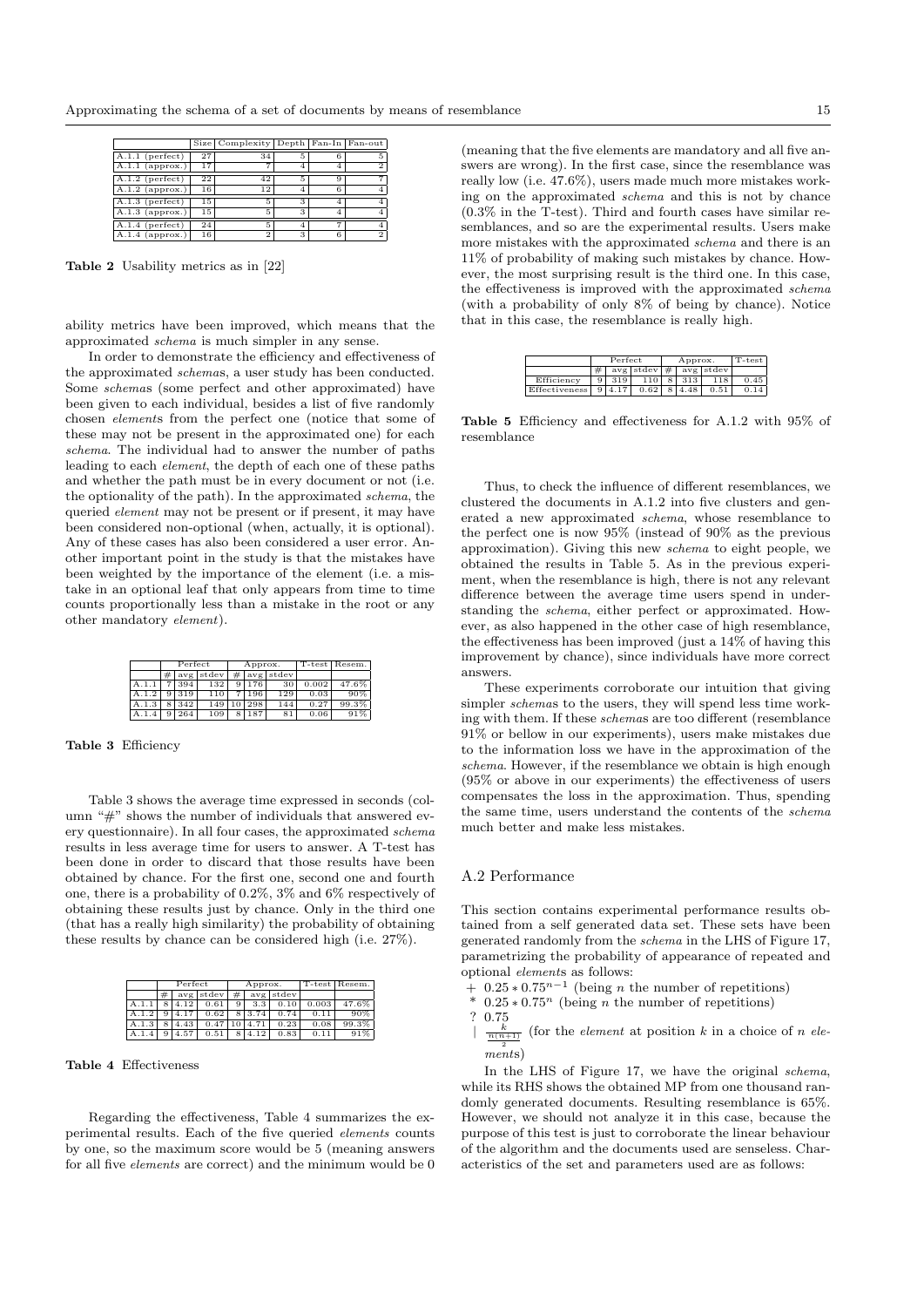|                   |    | Size   Complexity   Depth   Fan-In   Fan-out |                |                |                |
|-------------------|----|----------------------------------------------|----------------|----------------|----------------|
| $A.1.1$ (perfect) | 27 | 34                                           | 5              | 6              | 5.             |
| $A.1.1$ (approx.) | 17 |                                              | 4              | 4              | $\mathcal{D}$  |
| $A.1.2$ (perfect) | 22 | 42                                           | 5              | 9              |                |
| $A.1.2$ (approx.) | 16 | 12                                           | $\overline{4}$ | 6              |                |
| $A.1.3$ (perfect) | 15 | 5                                            | 3              | 4              |                |
| $A.1.3$ (approx.) | 15 | 5                                            | 3              | $\overline{4}$ |                |
| $A.1.4$ (perfect) | 24 | 5                                            |                |                |                |
| $A.1.4$ (approx.) | 16 | 2                                            | 3              | 6              | $\overline{2}$ |

Table 2 Usability metrics as in [22]

ability metrics have been improved, which means that the approximated schema is much simpler in any sense.

In order to demonstrate the efficiency and effectiveness of the approximated schemas, a user study has been conducted. Some schemas (some perfect and other approximated) have been given to each individual, besides a list of five randomly chosen elements from the perfect one (notice that some of these may not be present in the approximated one) for each schema. The individual had to answer the number of paths leading to each element, the depth of each one of these paths and whether the path must be in every document or not (i.e. the optionality of the path). In the approximated schema, the queried *element* may not be present or if present, it may have been considered non-optional (when, actually, it is optional). Any of these cases has also been considered a user error. Another important point in the study is that the mistakes have been weighted by the importance of the element (i.e. a mistake in an optional leaf that only appears from time to time counts proportionally less than a mistake in the root or any other mandatory element).

|                    | Perfect |     | Approx. |    |     |           | T-test Resem. |       |
|--------------------|---------|-----|---------|----|-----|-----------|---------------|-------|
|                    | #       | avg | stdev   | #  |     | avg stdev |               |       |
| $\overline{A}.1.1$ |         | 394 | 132     | 9  | 176 | 30        | 0.002         | 47.6% |
| A.1.2              | 9       | 319 | 110     |    | 196 | 129       | 0.03          | 90%   |
| A.1.3              | 8       | 342 | 149     | 10 | 298 | 144       | 0.27          | 99.3% |
| A.1.4              | 9       | 264 | 109     |    | 187 | 81        | 0.06          | 91%   |

Table 3 Efficiency

Table 3 shows the average time expressed in seconds (column "#" shows the number of individuals that answered every questionnaire). In all four cases, the approximated schema results in less average time for users to answer. A T-test has been done in order to discard that those results have been obtained by chance. For the first one, second one and fourth one, there is a probability of 0.2%, 3% and 6% respectively of obtaining these results just by chance. Only in the third one (that has a really high similarity) the probability of obtaining these results by chance can be considered high (i.e. 27%).

|       | Perfect |      |           |   | Approx.          |           |       | T-test Resem. |
|-------|---------|------|-----------|---|------------------|-----------|-------|---------------|
|       | #       |      | avg stdev | # |                  | avg stdev |       |               |
| A.1.1 |         | 4.12 | 0.61      | 9 | 3.3 <sub>1</sub> | 0.10      | 0.003 | 47.6%         |
| A.1.2 | 9       | 4.17 | 0.62      |   | 8 3.74           | 0.74      | 0.11  | 90%           |
| A.1.3 | 8       | 4.43 | 0.47      |   | 10 4.71          | 0.23      | 0.08  | $99.3\%$      |
|       | 9       | 4.57 | 0.51      | 8 | 4.12             | 0.83      | 0.11  | 91%           |

Table 4 Effectiveness

Regarding the effectiveness, Table 4 summarizes the experimental results. Each of the five queried elements counts by one, so the maximum score would be 5 (meaning answers for all five elements are correct) and the minimum would be 0

(meaning that the five elements are mandatory and all five answers are wrong). In the first case, since the resemblance was really low (i.e. 47.6%), users made much more mistakes working on the approximated schema and this is not by chance (0.3% in the T-test). Third and fourth cases have similar resemblances, and so are the experimental results. Users make more mistakes with the approximated schema and there is an 11% of probability of making such mistakes by chance. However, the most surprising result is the third one. In this case, the effectiveness is improved with the approximated schema (with a probability of only 8% of being by chance). Notice that in this case, the resemblance is really high.

|                      | Perfect |                             | Approx. |           |          | T-test |
|----------------------|---------|-----------------------------|---------|-----------|----------|--------|
|                      |         | $avg stdev  \#   avg stdev$ |         |           |          |        |
| Efficiency           | 91319   |                             |         | 110 8 313 | 118      | 0.45   |
| <b>Effectiveness</b> | 9 4.17  | 0.62                        |         | 8 4.48    | $0.51$ . | 0.14   |

Table 5 Efficiency and effectiveness for A.1.2 with 95% of resemblance

Thus, to check the influence of different resemblances, we clustered the documents in A.1.2 into five clusters and generated a new approximated schema, whose resemblance to the perfect one is now 95% (instead of 90% as the previous approximation). Giving this new schema to eight people, we obtained the results in Table 5. As in the previous experiment, when the resemblance is high, there is not any relevant difference between the average time users spend in understanding the schema, either perfect or approximated. However, as also happened in the other case of high resemblance, the effectiveness has been improved (just a  $14\%$  of having this improvement by chance), since individuals have more correct answers.

These experiments corroborate our intuition that giving simpler *schemas* to the users, they will spend less time working with them. If these schemas are too different (resemblance 91% or bellow in our experiments), users make mistakes due to the information loss we have in the approximation of the schema. However, if the resemblance we obtain is high enough (95% or above in our experiments) the effectiveness of users compensates the loss in the approximation. Thus, spending the same time, users understand the contents of the schema much better and make less mistakes.

## A.2 Performance

This section contains experimental performance results obtained from a self generated data set. These sets have been generated randomly from the schema in the LHS of Figure 17, parametrizing the probability of appearance of repeated and optional elements as follows:

- +  $0.25 * 0.75^{n-1}$  (being *n* the number of repetitions)<br>\*  $0.25 * 0.75^{n}$  (kg)
- $0.25 * 0.75^n$  (being n the number of repetitions)
- ? 0.75
- |  $\frac{k}{n(n+1)}$  (for the *element* at position k in a choice of n elements)

In the LHS of Figure 17, we have the original schema, while its RHS shows the obtained MP from one thousand randomly generated documents. Resulting resemblance is 65%. However, we should not analyze it in this case, because the purpose of this test is just to corroborate the linear behaviour of the algorithm and the documents used are senseless. Characteristics of the set and parameters used are as follows: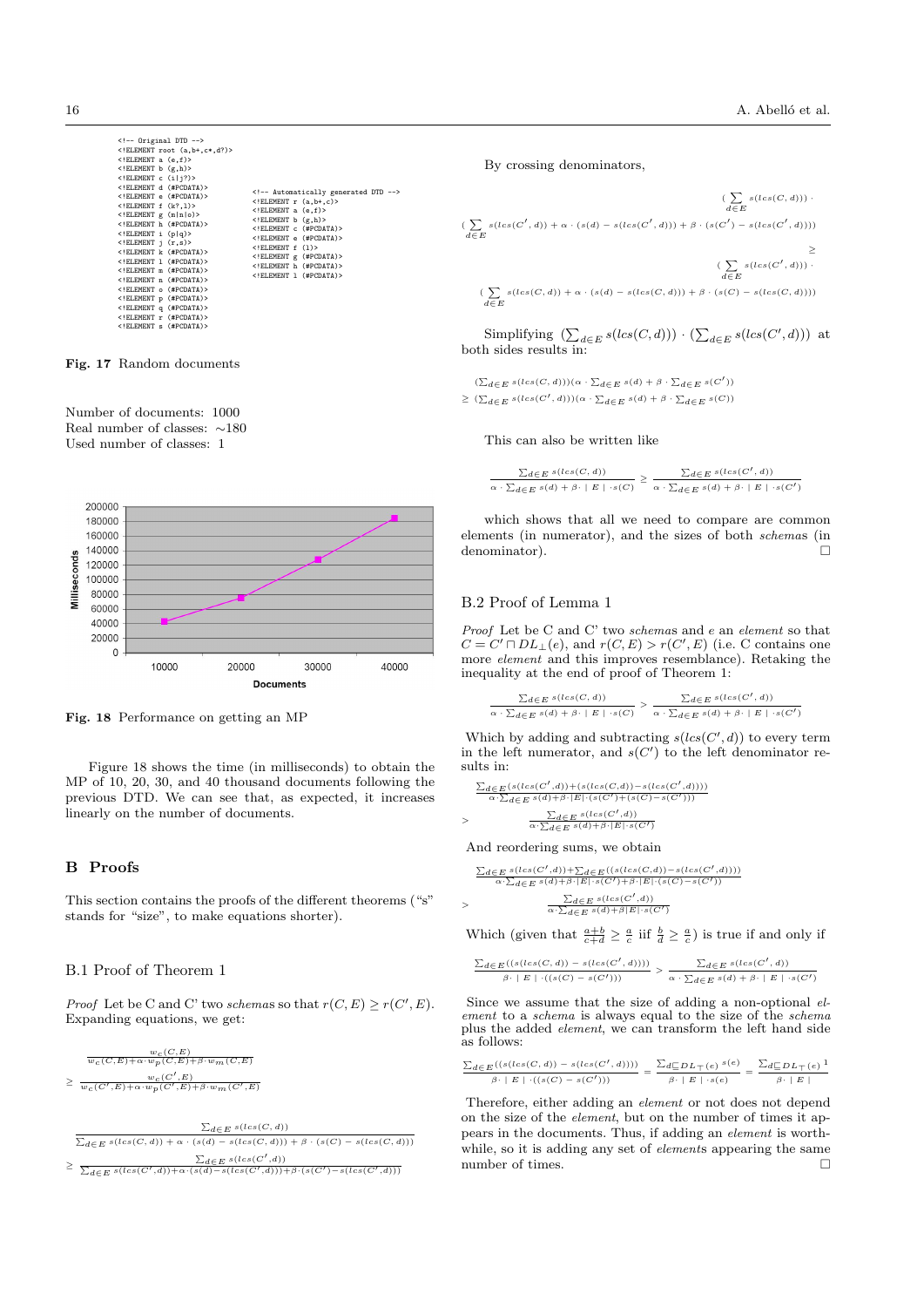<!!-- Original DTD --><br><!ELEMENT root (a,b+,c\*,d?)><br><!ELEMENT a (e,f)><br><!ELEMENT b (g,h)><br><!ELEMENT b (i|j?)><br><!ELEMENT c (i|j?)><br><!ELEMENT d (#PCDATA)><br><!ELEMENT e (#PCDATA)> <!ELEMENT b (g,h)><br><!ELEMENT c (i]j?)><br><!ELEMENT d (#PCDAT!<br><!ELEMENT e (#PCDAT!<br><!ELEMENT f (k?,1)><br><!ELEMENT g (m|n|o)> <!ELEMENT g (m|n|o)> (#PCDATA)><br>(p|q)><br>(r,s)><br>(#PCDATA)><br>(#PCDATA)><br>(#PCDATA)> <!ELEMENT i <!ELEMENT j (r,s)><br><!ELEMENT k (#PCDATA)><br><!ELEMENT 1 (#PCDATA)><br><!ELEMENT m (#PCDATA)> <!ELEMENT n (#PCDATA)> <!ELEMENT o (#PCDATA)> <!ELEMENT p (#PCDATA)> <!ELEMENT q (#PCDATA)> <!ELEMENT r (#PCDATA)> <!ELEMENT s (#PCDATA)> <!== Automatically generated DTD --><br><!ELEMENT r (a,b+,c)><br><!ELEMENT a (e,f)><br><!ELEMENT a (e,f)><br><!ELEMENT b (g,h)><br><!ELEMENT o (#PCDATA)><br><!ELEMENT σ (#PCDATA)><br><!ELEMENT g (#PCDATA)><br><!ELEMENT g (#PCDATA)><br><!ELEMENT β (

Fig. 17 Random documents

Number of documents: 1000 Real number of classes: ∼180 Used number of classes: 1



Fig. 18 Performance on getting an MP

Figure 18 shows the time (in milliseconds) to obtain the MP of 10, 20, 30, and 40 thousand documents following the previous DTD. We can see that, as expected, it increases linearly on the number of documents.

## B Proofs

This section contains the proofs of the different theorems ("s" stands for "size", to make equations shorter).

## B.1 Proof of Theorem 1

*Proof* Let be C and C' two *schemas* so that  $r(C, E) \ge r(C', E)$ . Expanding equations, we get:

$$
\frac{w_C(C, E)}{w_C(C, E) + \alpha \cdot w_P(C, E) + \beta \cdot w_m(C, E)}
$$
\n
$$
\geq \frac{w_C(C', E) + \alpha \cdot w_P(C', E)}{w_C(C', E) + \beta \cdot w_m(C', E)}
$$

 $\sum_{d\in E} s(lcs(C, d))$  $\sum_{d \in E} s(lcs(C, d)) + \alpha \cdot (s(d) - s(lcs(C, d))) + \beta \cdot (s(C) - s(lcs(C, d)))$ 

 $\ge \ \frac{\sum_{d\in E} \, s(lcs(C',d))}{\sum_{d\in E} \, s(lcs(C',d)) + \alpha \cdot (s(d) - s(lcs(C',d))) + \beta \cdot (s(C') - s(lcs(C',d)))}$ 

By crossing denominators,

$$
\left(\sum_{d \in E} s(lcs(C, d))\right) \cdot \frac{\left(\sum_{d \in E} s(lcs(C, d))\right) \cdot \left(\sum_{d \in E} s(lcs(C', d))\right)}{d \in E}
$$

$$
(\sum_{d \in E} s(lcs(C', d))) \cdot
$$
  

$$
(\sum_{d \in E} s(lcs(C, d)) + \alpha \cdot (s(d) - s(lcs(C, d))) + \beta \cdot (s(C) - s(lcs(C, d))))
$$

Simplifying  $(\sum_{d \in E} s(lcs(C, d))) \cdot (\sum_{d \in E} s(lcs(C', d)))$  at both sides results in:

 $(\sum_{d\in E}s(lcs(C,d)))(\alpha\cdot \sum_{d\in E}s(d)+\beta\cdot \sum_{d\in E}s(C'))$  $\geq (\sum_{d \in E} s(lcs(C', d)))(\alpha \cdot \sum_{d \in E} s(d) + \beta \cdot \sum_{d \in E} s(C))$ 

This can also be written like

$$
\frac{\sum_{d\in E} s(lcs(C,d))}{\alpha\cdot \sum_{d\in E} s(d) + \beta\cdot |E| \cdot s(C)} \ge \frac{\sum_{d\in E} s(lcs(C',d))}{\alpha\cdot \sum_{d\in E} s(d) + \beta\cdot |E| \cdot s(C')}
$$

which shows that all we need to compare are common elements (in numerator), and the sizes of both schemas (in denominator).

## B.2 Proof of Lemma 1

Proof Let be C and C' two schemas and e an element so that  $C = C' \sqcap DL_{\perp}(e)$ , and  $r(C, E) > r(C', E)$  (i.e. C contains one more element and this improves resemblance). Retaking the inequality at the end of proof of Theorem 1:

$$
\frac{\sum_{d\in E}s(lcs(C,d))}{\alpha\cdot \sum_{d\in E}s(d)+\beta\cdot \mid E\mid \cdot s(C)} > \frac{\sum_{d\in E}s(lcs(C',d))}{\alpha\cdot \sum_{d\in E}s(d)+\beta\cdot \mid E\mid \cdot s(C')}
$$

Which by adding and subtracting  $s(lcs(C', d))$  to every term in the left numerator, and  $s(C')$  to the left denominator results in:

$$
\frac{\sum_{d\in E} (s(lcs(C',d)) + (s(lcs(C,d)) - s(lcs(C',d))))}{\alpha \cdot \sum_{d\in E} s(d) + \beta \cdot |E| \cdot (s(C') + (s(C) - s(C')))}
$$
\n
$$
> \frac{\sum_{d\in E} s(lcs(C',d))}{\alpha \cdot \sum_{d\in E} s(d) + \beta \cdot |E| \cdot s(C')}
$$

And reordering sums, we obtain

>

$$
\frac{\sum_{d\in E}s(lcs(C', d)) + \sum_{d\in E}((s(lcs(C, d)) - s(lcs(C', d))))}{\alpha \cdot \sum_{d\in E}s(d) + \beta \cdot |E| \cdot s(C') + \beta \cdot |E| \cdot (s(C) - s(C'))}{\alpha \cdot \sum_{d\in E}s(lcs(C', d))}
$$

Which (given that  $\frac{a+b}{c+d} \geq \frac{a}{c}$  if  $\frac{b}{d} \geq \frac{a}{c}$ ) is true if and only if

$$
\frac{\sum_{d\in E} \left(\left(s(lcs(C,d)) - s(lcs(C',d))\right)\right)}{\beta\cdot\mid E\mid\cdot((s(C)-s(C')))} > \frac{\sum_{d\in E} s(lcs(C',d))}{\alpha\cdot\sum_{d\in E} s(d)+\beta\cdot\mid E\mid\cdot s(C')}
$$

Since we assume that the size of adding a non-optional element to a schema is always equal to the size of the schema plus the added *element*, we can transform the left hand side as follows:

$$
\frac{\sum_{d\in E}((s(lcs(C,d))-s(lcs(C',d))))}{\beta\cdot|E| \cdot ((s(C)-s(C')))} = \frac{\sum_{d\subseteq DL_{\top}(e)} s(e)}{\beta\cdot|E| \cdot s(e)} = \frac{\sum_{d\subseteq DL_{\top}(e)} 1}{\beta\cdot|E|}
$$

Therefore, either adding an element or not does not depend on the size of the element, but on the number of times it appears in the documents. Thus, if adding an element is worthwhile, so it is adding any set of *elements* appearing the same number of times.